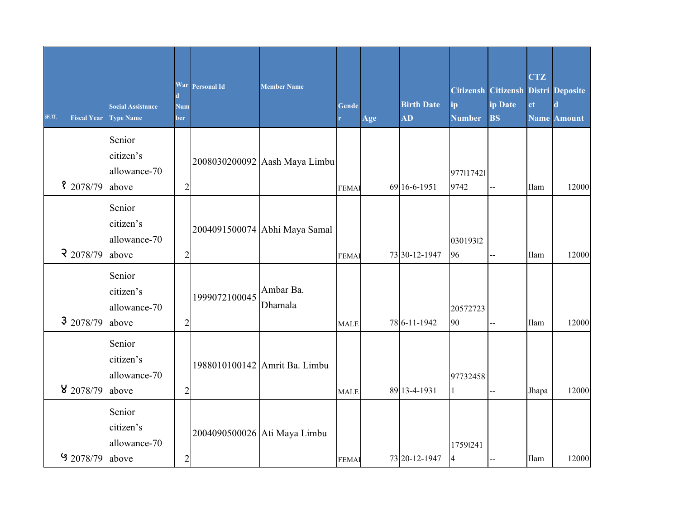| क्र.स. | <b>Fiscal Year</b>     | <b>Social Assistance</b><br><b>Type Name</b> | d<br>Num<br>ber | War Personal Id | <b>Member Name</b>            | <b>Gende</b> | Age | <b>Birth Date</b><br>$\overline{\mathbf{A}\mathbf{D}}$ | ip<br><b>Number</b> | Citizensh Citizensh Distri Deposite<br>ip Date<br><b>BS</b> | <b>CTZ</b><br>ct | $\mathbf d$<br><b>Name Amount</b> |
|--------|------------------------|----------------------------------------------|-----------------|-----------------|-------------------------------|--------------|-----|--------------------------------------------------------|---------------------|-------------------------------------------------------------|------------------|-----------------------------------|
|        | 2078/79                | Senior<br>citizen's<br>allowance-70<br>above | $\overline{c}$  |                 | 2008030200092 Aash Maya Limbu | <b>FEMA</b>  |     | 69 16-6-1951                                           | 977117421<br>9742   |                                                             | Ilam             | 12000                             |
|        | $\frac{2 2078/79 }{ }$ | Senior<br>citizen's<br>allowance-70<br>above | $\overline{c}$  |                 | 2004091500074 Abhi Maya Samal | <b>FEMA</b>  |     | 73 30-12-1947                                          | 03019312<br>96      |                                                             | Ilam             | 12000                             |
|        | 3 2078/79              | Senior<br>citizen's<br>allowance-70<br>above | $\overline{c}$  | 1999072100045   | Ambar Ba.<br>Dhamala          | <b>MALE</b>  |     | 78 6-11-1942                                           | 20572723<br>90      |                                                             | Ilam             | 12000                             |
|        | 8 2078/79              | Senior<br>citizen's<br>allowance-70<br>above | $\overline{c}$  |                 | 1988010100142 Amrit Ba. Limbu | <b>MALE</b>  |     | 89 13-4-1931                                           | 97732458<br>1       | $-$                                                         | Jhapa            | 12000                             |
|        | $9$ 2078/79            | Senior<br>citizen's<br>allowance-70<br>above | $\overline{c}$  |                 | 2004090500026 Ati Maya Limbu  | <b>FEMAI</b> |     | 73 20-12-1947                                          | 17591241<br>4       |                                                             | <b>Ilam</b>      | 12000                             |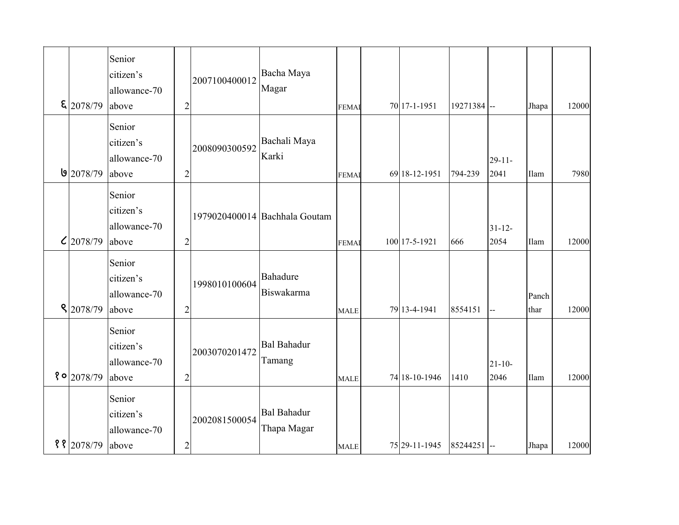| $\frac{2078}{79}$   | Senior<br>citizen's<br>allowance-70<br>above | $\overline{2}$ | 2007100400012 | Bacha Maya<br>Magar               | <b>FEMAI</b> | 70 17-1-1951  | 19271384 -- |                     | Jhapa         | 12000 |
|---------------------|----------------------------------------------|----------------|---------------|-----------------------------------|--------------|---------------|-------------|---------------------|---------------|-------|
| $9$ 2078/79         | Senior<br>citizen's<br>allowance-70<br>above | $\overline{2}$ | 2008090300592 | Bachali Maya<br>Karki             | <b>FEMAI</b> | 69 18-12-1951 | 794-239     | $29 - 11$<br>2041   | Ilam          | 7980  |
| 2078/79             | Senior<br>citizen's<br>allowance-70<br>above | $\overline{2}$ |               | 1979020400014 Bachhala Goutam     | <b>FEMAI</b> | 100 17-5-1921 | 666         | $31 - 12 -$<br>2054 | Ilam          | 12000 |
| $\frac{8}{2078/79}$ | Senior<br>citizen's<br>allowance-70<br>above | $\overline{2}$ | 1998010100604 | <b>Bahadure</b><br>Biswakarma     | <b>MALE</b>  | 79 13-4-1941  | 8554151     | --                  | Panch<br>thar | 12000 |
| $\degree$ 0 2078/79 | Senior<br>citizen's<br>allowance-70<br>above | $\overline{c}$ | 2003070201472 | <b>Bal Bahadur</b><br>Tamang      | <b>MALE</b>  | 74 18-10-1946 | 1410        | $21 - 10 -$<br>2046 | Ilam          | 12000 |
| ११ 2078/79 above    | Senior<br>citizen's<br>allowance-70          | $\sqrt{2}$     | 2002081500054 | <b>Bal Bahadur</b><br>Thapa Magar | <b>MALE</b>  | 75 29-11-1945 | 85244251 -- |                     | Jhapa         | 12000 |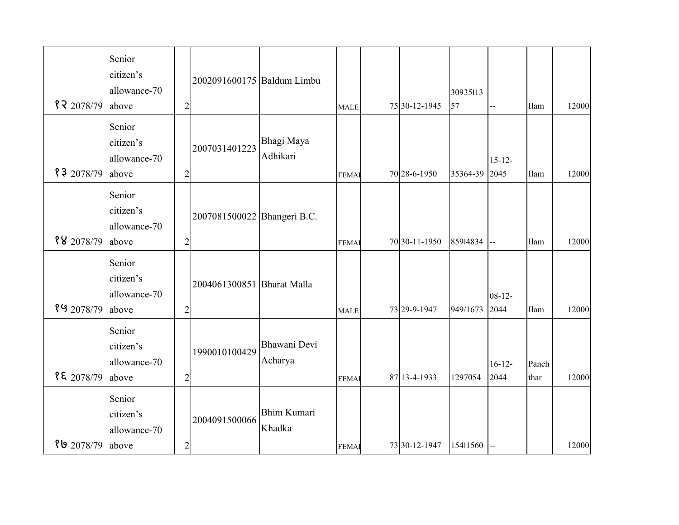| 8 2 2078/79 | Senior<br>citizen's<br>allowance-70<br>above | $\overline{2}$ | 2002091600175 Baldum Limbu  |                              | <b>MALE</b>  | 75 30-12-1945 | 30935113<br>57 |                     | Ilam          | 12000 |
|-------------|----------------------------------------------|----------------|-----------------------------|------------------------------|--------------|---------------|----------------|---------------------|---------------|-------|
| 83 2078/79  | Senior<br>citizen's<br>allowance-70<br>above | $\overline{2}$ | 2007031401223               | Bhagi Maya<br>Adhikari       | <b>FEMAI</b> | 70 28-6-1950  | 35364-39       | $15 - 12$<br>2045   | Ilam          | 12000 |
| 88 2078/79  | Senior<br>citizen's<br>allowance-70<br>above | $\overline{2}$ | 2007081500022 Bhangeri B.C. |                              | <b>FEMAI</b> | 70 30-11-1950 | 85914834       | l--                 | Ilam          | 12000 |
| 89 2078/79  | Senior<br>citizen's<br>allowance-70<br>above | $\overline{2}$ | 2004061300851 Bharat Malla  |                              | <b>MALE</b>  | 73 29-9-1947  | 949/1673       | $08 - 12 -$<br>2044 | Ilam          | 12000 |
| 85 2078/79  | Senior<br>citizen's<br>allowance-70<br>above | $\overline{c}$ | 1990010100429               | Bhawani Devi<br>Acharya      | <b>FEMA</b>  | 87 13-4-1933  | 1297054        | $16 - 12$<br>2044   | Panch<br>thar | 12000 |
| १७ 2078/79  | Senior<br>citizen's<br>allowance-70<br>above | $\overline{c}$ | 2004091500066               | <b>Bhim Kumari</b><br>Khadka | <b>FEMAI</b> | 73 30-12-1947 | 15411560       |                     |               | 12000 |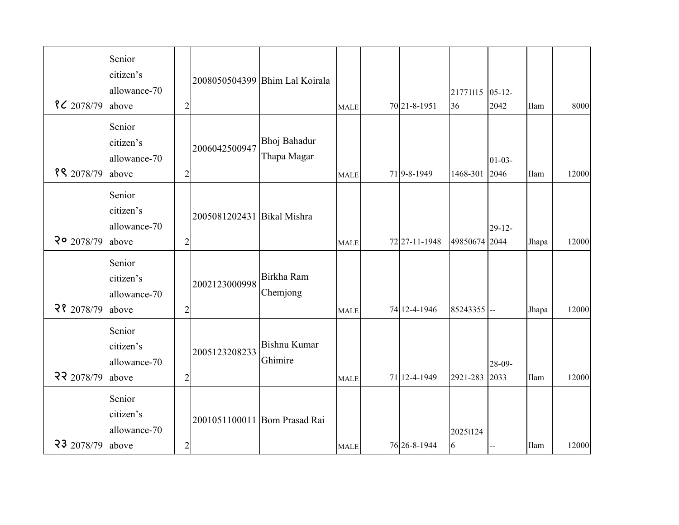|                         | Senior<br>citizen's<br>allowance-70          |                |                              | 2008050504399 Bhim Lal Koirala |             |               | 21771115 05-12- |                     |       |       |
|-------------------------|----------------------------------------------|----------------|------------------------------|--------------------------------|-------------|---------------|-----------------|---------------------|-------|-------|
| $\frac{8}{2078/79}$     | above                                        | $\overline{2}$ |                              |                                | <b>MALE</b> | 70 21-8-1951  | 36              | 2042                | Ilam  | 8000  |
| 88 2078/79              | Senior<br>citizen's<br>allowance-70<br>above | $\overline{2}$ | 2006042500947                | Bhoj Bahadur<br>Thapa Magar    | <b>MALE</b> | 71 9-8-1949   | 1468-301        | $01-03-$<br>2046    | Ilam  | 12000 |
| $20$ <sub>2078/79</sub> | Senior<br>citizen's<br>allowance-70<br>above | $\overline{2}$ | 2005081202431 Bikal Mishra   |                                | <b>MALE</b> | 72 27-11-1948 | 49850674 2044   | $29 - 12$           | Jhapa | 12000 |
| 28 2078/79              | Senior<br>citizen's<br>allowance-70<br>above | $\overline{2}$ | 2002123000998                | Birkha Ram<br>Chemjong         | <b>MALE</b> | 74 12-4-1946  | 85243355 --     |                     | Jhapa | 12000 |
| 22 2078/79              | Senior<br>citizen's<br>allowance-70<br>above | $\overline{c}$ | 2005123208233                | <b>Bishnu Kumar</b><br>Ghimire | <b>MALE</b> | 71 12-4-1949  | 2921-283        | $28 - 09 -$<br>2033 | Ilam  | 12000 |
| 23 2078/79              | Senior<br>citizen's<br>allowance-70<br>above | $\overline{c}$ | 2001051100011 Bom Prasad Rai |                                | <b>MALE</b> | 76 26-8-1944  | 20251124<br>6   |                     | Ilam  | 12000 |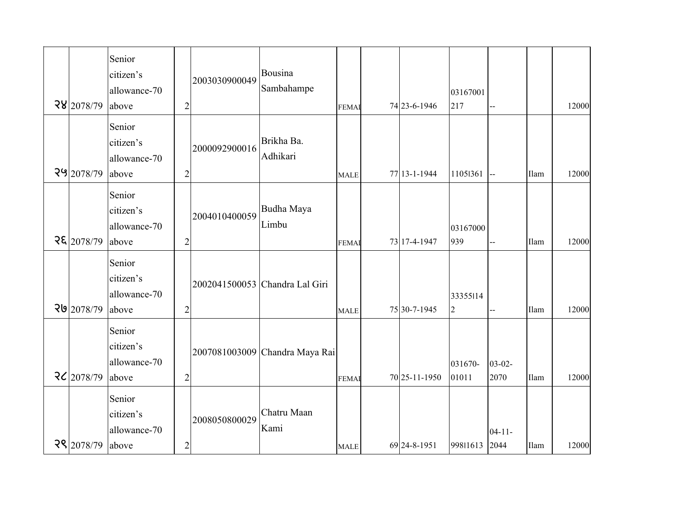|         |                                                                                                     | 12000                |
|---------|-----------------------------------------------------------------------------------------------------|----------------------|
|         |                                                                                                     |                      |
|         |                                                                                                     |                      |
|         |                                                                                                     |                      |
| --      | Ilam                                                                                                | 12000                |
|         |                                                                                                     |                      |
|         |                                                                                                     |                      |
|         |                                                                                                     |                      |
| $-$     | Ilam                                                                                                | 12000                |
|         |                                                                                                     |                      |
|         |                                                                                                     |                      |
|         |                                                                                                     |                      |
| $-$     |                                                                                                     | 12000                |
|         |                                                                                                     |                      |
|         |                                                                                                     |                      |
|         |                                                                                                     |                      |
|         |                                                                                                     | 12000                |
|         |                                                                                                     |                      |
|         |                                                                                                     |                      |
|         |                                                                                                     | 12000                |
| 031670- | 03167001<br>11051361<br>03167000<br>33355114<br>$03 - 02 -$<br>2070<br>$04 - 11 -$<br>99811613 2044 | Ilam<br>Ilam<br>Ilam |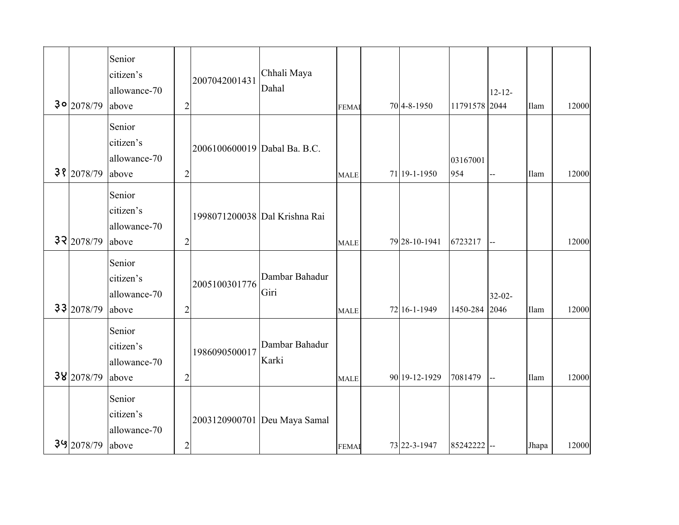|              | Senior       |                |                               |                |              |               |               |             |       |       |
|--------------|--------------|----------------|-------------------------------|----------------|--------------|---------------|---------------|-------------|-------|-------|
|              | citizen's    |                | 2007042001431                 | Chhali Maya    |              |               |               |             |       |       |
|              | allowance-70 |                |                               | Dahal          |              |               |               | $12 - 12 -$ |       |       |
| $30$ 2078/79 | above        | $\overline{c}$ |                               |                | <b>FEMAI</b> | 704-8-1950    | 11791578 2044 |             | Ilam  | 12000 |
|              | Senior       |                |                               |                |              |               |               |             |       |       |
|              | citizen's    |                |                               |                |              |               |               |             |       |       |
|              | allowance-70 |                | 2006100600019 Dabal Ba. B.C.  |                |              |               | 03167001      |             |       |       |
| 3 8 2078/79  | above        | $\overline{2}$ |                               |                | <b>MALE</b>  | 71 19-1-1950  | 954           |             | Ilam  | 12000 |
|              |              |                |                               |                |              |               |               |             |       |       |
|              | Senior       |                |                               |                |              |               |               |             |       |       |
|              | citizen's    |                | 1998071200038 Dal Krishna Rai |                |              |               |               |             |       |       |
|              | allowance-70 |                |                               |                |              |               |               |             |       |       |
| 32 2078/79   | above        | $\overline{2}$ |                               |                | <b>MALE</b>  | 79 28-10-1941 | 6723217       | --          |       | 12000 |
|              | Senior       |                |                               |                |              |               |               |             |       |       |
|              | citizen's    |                | 2005100301776                 | Dambar Bahadur |              |               |               |             |       |       |
|              | allowance-70 |                |                               | Giri           |              |               |               | $32 - 02 -$ |       |       |
| 33 2078/79   | above        | $\overline{2}$ |                               |                | <b>MALE</b>  | 72 16-1-1949  | 1450-284      | 2046        | Ilam  | 12000 |
|              |              |                |                               |                |              |               |               |             |       |       |
|              | Senior       |                |                               | Dambar Bahadur |              |               |               |             |       |       |
|              | citizen's    |                | 1986090500017                 |                |              |               |               |             |       |       |
|              | allowance-70 |                |                               | Karki          |              |               |               |             |       |       |
| 38 2078/79   | above        | $\overline{2}$ |                               |                | <b>MALE</b>  | 90 19-12-1929 | 7081479       | <b>L_</b>   | Ilam  | 12000 |
|              | Senior       |                |                               |                |              |               |               |             |       |       |
|              | citizen's    |                |                               |                |              |               |               |             |       |       |
|              | allowance-70 |                | 2003120900701 Deu Maya Samal  |                |              |               |               |             |       |       |
| $39$ 2078/79 | above        | $\overline{c}$ |                               |                | <b>FEMAI</b> | 73 22-3-1947  | 85242222 --   |             | Jhapa | 12000 |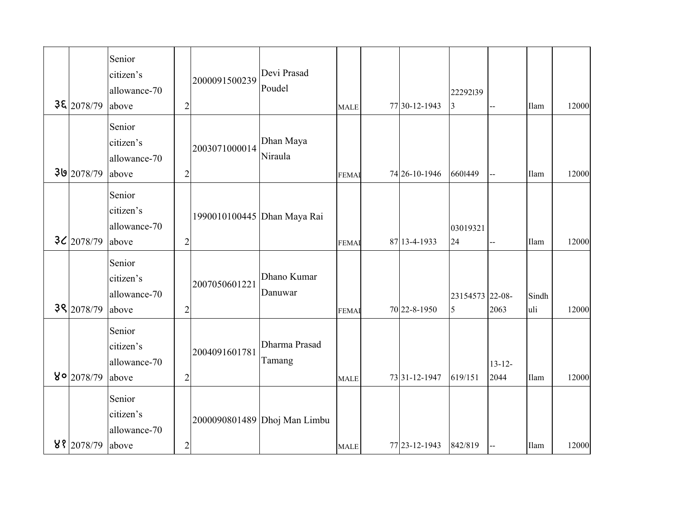|                     | Senior<br>citizen's                          |                | 2000091500239               | Devi Prasad                  |              |               |                      |                     |              |       |
|---------------------|----------------------------------------------|----------------|-----------------------------|------------------------------|--------------|---------------|----------------------|---------------------|--------------|-------|
| $3\epsilon$ 2078/79 | allowance-70<br>above                        | $\overline{2}$ |                             | Poudel                       | <b>MALE</b>  | 77 30-12-1943 | 22292139<br>3        |                     | Ilam         | 12000 |
| 39 2078/79          | Senior<br>citizen's<br>allowance-70<br>above | $\overline{2}$ | 2003071000014               | Dhan Maya<br>Niraula         | <b>FEMAI</b> | 74 26-10-1946 | 6601449              |                     | Ilam         | 12000 |
| $3\zeta$ 2078/79    | Senior<br>citizen's<br>allowance-70<br>above | $\overline{2}$ | 1990010100445 Dhan Maya Rai |                              | <b>FEMAI</b> | 87 13-4-1933  | 03019321<br>24       | $-$                 | Ilam         | 12000 |
| 39 2078/79          | Senior<br>citizen's<br>allowance-70<br>above | $\overline{2}$ | 2007050601221               | Dhano Kumar<br>Danuwar       | <b>FEMA</b>  | 70 22-8-1950  | 23154573 22-08-<br>5 | 2063                | Sindh<br>uli | 12000 |
| 80 2078/79          | Senior<br>citizen's<br>allowance-70<br>above | $\overline{c}$ | 2004091601781               | Dharma Prasad<br>Tamang      | <b>MALE</b>  | 73 31-12-1947 | 619/151              | $13 - 12 -$<br>2044 | Ilam         | 12000 |
| 88 2078/79 above    | Senior<br>citizen's<br>allowance-70          | $\overline{c}$ |                             | 2000090801489 Dhoj Man Limbu | <b>MALE</b>  | 77 23-12-1943 | 842/819              |                     | Ilam         | 12000 |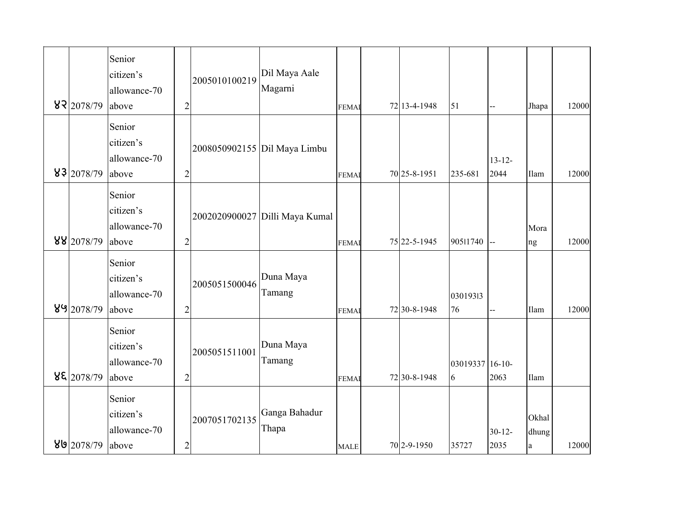|                  | Senior<br>citizen's<br>allowance-70          |                | 2005010100219 | Dil Maya Aale<br>Magarni       |              |              |                      |                     |                            |       |
|------------------|----------------------------------------------|----------------|---------------|--------------------------------|--------------|--------------|----------------------|---------------------|----------------------------|-------|
| 82 2078/79       | above                                        | $\overline{2}$ |               |                                | <b>FEMA</b>  | 72 13-4-1948 | 51                   | $-$                 | Jhapa                      | 12000 |
| 83 2078/79       | Senior<br>citizen's<br>allowance-70<br>above | $\overline{2}$ |               | 2008050902155 Dil Maya Limbu   | <b>FEMAI</b> | 70 25-8-1951 | 235-681              | $13 - 12 -$<br>2044 | Ilam                       | 12000 |
| 88 2078/79       | Senior<br>citizen's<br>allowance-70<br>above | $\overline{2}$ |               | 2002020900027 Dilli Maya Kumal | <b>FEMAI</b> | 75 22-5-1945 | 90511740             | Щ,                  | Mora<br>ng                 | 12000 |
| 89 2078/79       | Senior<br>citizen's<br>allowance-70<br>above | $\overline{c}$ | 2005051500046 | Duna Maya<br>Tamang            | <b>FEMAI</b> | 72 30-8-1948 | 03019313<br>76       | --                  | Ilam                       | 12000 |
| 82 2078/79       | Senior<br>citizen's<br>allowance-70<br>above | $\overline{c}$ | 2005051511001 | Duna Maya<br>Tamang            | <b>FEMAI</b> | 72 30-8-1948 | 03019337 16-10-<br>6 | 2063                | Ilam                       |       |
| 80 2078/79 above | Senior<br>citizen's<br>allowance-70          | $\sqrt{2}$     | 2007051702135 | Ganga Bahadur<br>Thapa         | <b>MALE</b>  | 70 2-9-1950  | 35727                | $30 - 12$<br>2035   | Okhal<br>dhung<br>$\rm{a}$ | 12000 |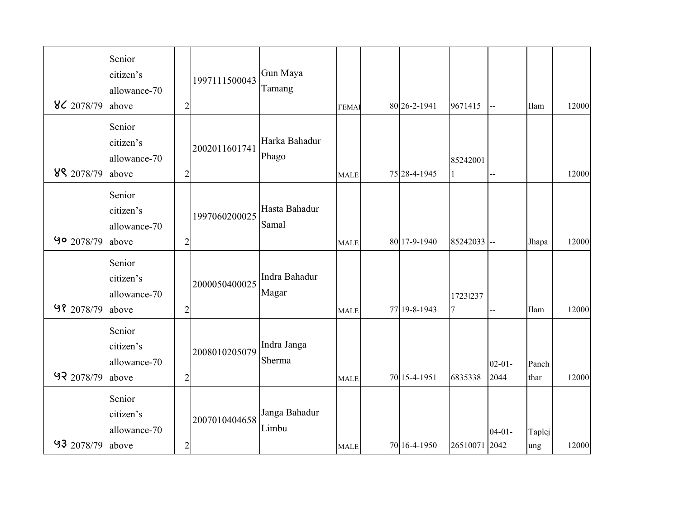|                         | Senior                    |                |               | Gun Maya      |             |              |                 |             |        |       |
|-------------------------|---------------------------|----------------|---------------|---------------|-------------|--------------|-----------------|-------------|--------|-------|
|                         | citizen's<br>allowance-70 |                | 1997111500043 | Tamang        |             |              |                 |             |        |       |
| 86 2078/79              | above                     | $\overline{c}$ |               |               | <b>FEMA</b> | 80 26-2-1941 | 9671415         | $-$         | Ilam   | 12000 |
|                         | Senior                    |                |               |               |             |              |                 |             |        |       |
|                         | citizen's                 |                |               | Harka Bahadur |             |              |                 |             |        |       |
|                         | allowance-70              |                | 2002011601741 | Phago         |             |              | 85242001        |             |        |       |
| 89 2078/79              | above                     | $\overline{2}$ |               |               | <b>MALE</b> | 75 28-4-1945 |                 |             |        | 12000 |
|                         | Senior                    |                |               |               |             |              |                 |             |        |       |
|                         | citizen's                 |                | 1997060200025 | Hasta Bahadur |             |              |                 |             |        |       |
|                         | allowance-70              |                |               | Samal         |             |              |                 |             |        |       |
| $90$ <sub>2078/79</sub> | above                     | $\overline{c}$ |               |               | <b>MALE</b> | 80 17-9-1940 | 85242033 --     |             | Jhapa  | 12000 |
|                         | Senior                    |                |               |               |             |              |                 |             |        |       |
|                         | citizen's                 |                | 2000050400025 | Indra Bahadur |             |              |                 |             |        |       |
|                         | allowance-70              |                |               | Magar         |             |              | 17231237        |             |        |       |
| 98 2078/79              | above                     | $\overline{2}$ |               |               | <b>MALE</b> | 77 19-8-1943 | $7\phantom{.0}$ | ц,          | Ilam   | 12000 |
|                         | Senior                    |                |               |               |             |              |                 |             |        |       |
|                         | citizen's                 |                | 2008010205079 | Indra Janga   |             |              |                 |             |        |       |
|                         | allowance-70              |                |               | Sherma        |             |              |                 | $02 - 01 -$ | Panch  |       |
| 97 2078/79              | above                     | $\overline{2}$ |               |               | <b>MALE</b> | 70 15-4-1951 | 6835338         | 2044        | thar   | 12000 |
|                         | Senior                    |                |               |               |             |              |                 |             |        |       |
|                         | citizen's                 |                | 2007010404658 | Janga Bahadur |             |              |                 |             |        |       |
|                         | allowance-70              |                |               | Limbu         |             |              |                 | $04 - 01 -$ | Taplej |       |
| $93 2078/79 $ above     |                           | $\overline{c}$ |               |               | <b>MALE</b> | 70 16-4-1950 | 26510071 2042   |             | ung    | 12000 |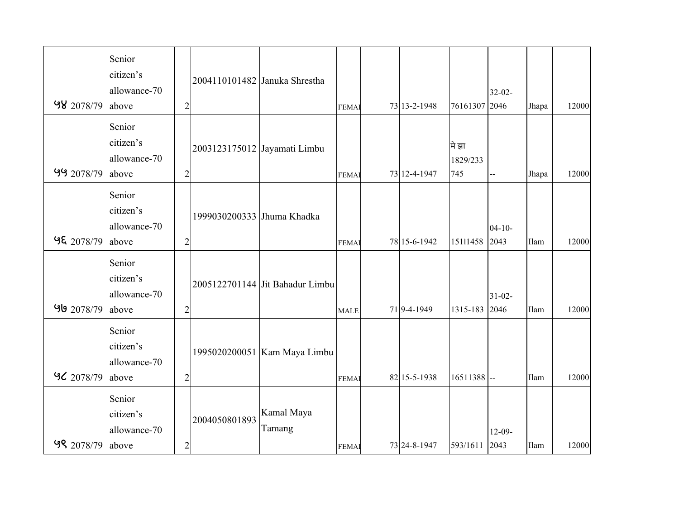| 98 2078/79                          | Senior<br>citizen's<br>allowance-70<br>above | $\overline{2}$ | 2004110101482 Januka Shrestha |                                 | <b>FEMAI</b> | 73 13-2-1948 | 76161307 2046            | $32 - 02 -$         | Jhapa | 12000 |
|-------------------------------------|----------------------------------------------|----------------|-------------------------------|---------------------------------|--------------|--------------|--------------------------|---------------------|-------|-------|
| $99$ 2078/79                        | Senior<br>citizen's<br>allowance-70<br>above | $\overline{c}$ | 2003123175012 Jayamati Limbu  |                                 | <b>FEMAI</b> | 73 12-4-1947 | मे झा<br>1829/233<br>745 |                     | Jhapa | 12000 |
| $9\frac{2078}{79}$                  | Senior<br>citizen's<br>allowance-70<br>above | $\overline{2}$ | 1999030200333 Jhuma Khadka    |                                 | <b>FEMAI</b> | 78 15-6-1942 | 15111458                 | $04 - 10 -$<br>2043 | Ilam  | 12000 |
| 98 2078/79                          | Senior<br>citizen's<br>allowance-70<br>above | $\overline{2}$ |                               | 2005122701144 Jit Bahadur Limbu | <b>MALE</b>  | 719-4-1949   | 1315-183                 | $31 - 02 -$<br>2046 | Ilam  | 12000 |
| $9$ <sup><math>2078/79</math></sup> | Senior<br>citizen's<br>allowance-70<br>above | $\overline{2}$ |                               | 1995020200051 Kam Maya Limbu    | <b>FEMAI</b> | 82 15-5-1938 | $16511388$ --            |                     | Ilam  | 12000 |
| 98 2078/79 above                    | Senior<br>citizen's<br>allowance-70          | $\sqrt{2}$     | 2004050801893                 | Kamal Maya<br>Tamang            | <b>FEMAI</b> | 73 24-8-1947 | 593/1611 2043            | $12-09-$            | Ilam  | 12000 |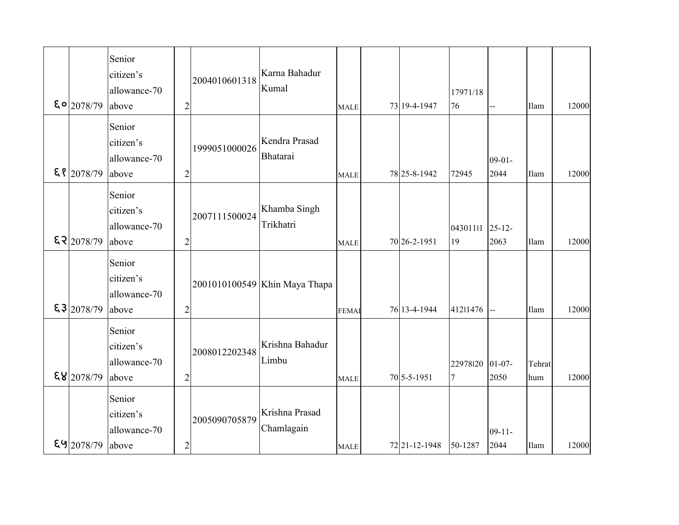| $\frac{2078}{79}$ | Senior<br>citizen's<br>allowance-70<br>above | $\overline{2}$ | 2004010601318 | Karna Bahadur<br>Kumal        | <b>MALE</b>  | 73 19-4-1947  | 17971/18<br>76             |                     | Ilam          | 12000 |
|-------------------|----------------------------------------------|----------------|---------------|-------------------------------|--------------|---------------|----------------------------|---------------------|---------------|-------|
| $\S$   2078/79    | Senior<br>citizen's<br>allowance-70<br>above | $\overline{c}$ | 1999051000026 | Kendra Prasad<br>Bhatarai     | <b>MALE</b>  | 78 25-8-1942  | 72945                      | $09 - 01 -$<br>2044 | Ilam          | 12000 |
| $E$ 2078/79       | Senior<br>citizen's<br>allowance-70<br>above | $\overline{c}$ | 2007111500024 | Khamba Singh<br>Trikhatri     | <b>MALE</b>  | 70 26-2-1951  | 04301111 25-12-<br>19      | 2063                | Ilam          | 12000 |
| \$3 2078/79       | Senior<br>citizen's<br>allowance-70<br>above | $\overline{c}$ |               | 2001010100549 Khin Maya Thapa | <b>FEMAI</b> | 76 13-4-1944  | 41211476                   | $\overline{a}$      | Ilam          | 12000 |
| E8 2078/79        | Senior<br>citizen's<br>allowance-70<br>above | $\overline{2}$ | 2008012202348 | Krishna Bahadur<br>Limbu      | <b>MALE</b>  | 70 5-5-1951   | 22978120<br>$\overline{7}$ | $01 - 07 -$<br>2050 | Tehrat<br>hum | 12000 |
| $$9$ 2078/79      | Senior<br>citizen's<br>allowance-70<br>above | $\overline{c}$ | 2005090705879 | Krishna Prasad<br>Chamlagain  | <b>MALE</b>  | 72 21-12-1948 | 50-1287                    | $09 - 11 -$<br>2044 | Ilam          | 12000 |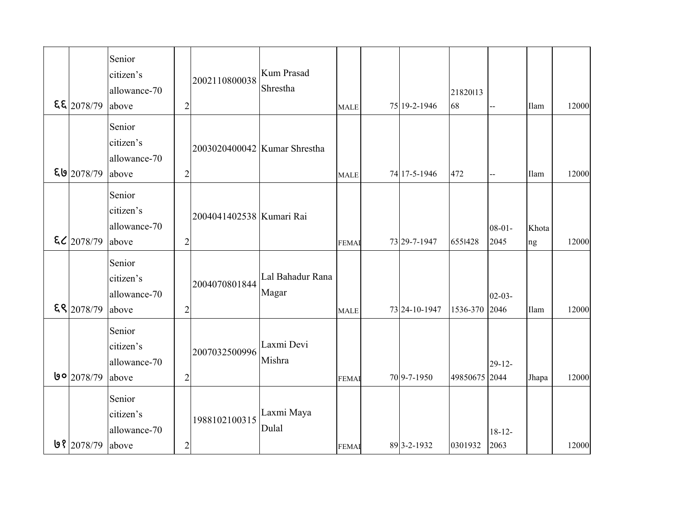|                        | Senior<br>citizen's |                | 2002110800038                | <b>Kum Prasad</b> |              |               |               |                |       |       |
|------------------------|---------------------|----------------|------------------------------|-------------------|--------------|---------------|---------------|----------------|-------|-------|
|                        | allowance-70        |                |                              | Shrestha          |              |               | 21820113      |                |       |       |
| $E_2$ 2078/79          | above               | $\overline{c}$ |                              |                   | <b>MALE</b>  | 75 19-2-1946  | 68            |                | Ilam  | 12000 |
|                        | Senior              |                |                              |                   |              |               |               |                |       |       |
|                        | citizen's           |                |                              |                   |              |               |               |                |       |       |
|                        | allowance-70        |                | 2003020400042 Kumar Shrestha |                   |              |               |               |                |       |       |
| E92078/79              | above               | $\overline{2}$ |                              |                   | <b>MALE</b>  | 74 17-5-1946  | 472           | $\overline{a}$ | Ilam  | 12000 |
|                        | Senior              |                |                              |                   |              |               |               |                |       |       |
|                        | citizen's           |                |                              |                   |              |               |               |                |       |       |
|                        | allowance-70        |                | 2004041402538 Kumari Rai     |                   |              |               |               |                |       |       |
|                        |                     |                |                              |                   |              |               |               | $08 - 01 -$    | Khota |       |
| $\mathcal{E}[2078/79]$ | above               | $\overline{2}$ |                              |                   | <b>FEMAI</b> | 73 29-7-1947  | 6551428       | 2045           | ng    | 12000 |
|                        | Senior              |                |                              |                   |              |               |               |                |       |       |
|                        | citizen's           |                | 2004070801844                | Lal Bahadur Rana  |              |               |               |                |       |       |
|                        | allowance-70        |                |                              | Magar             |              |               |               | $02 - 03 -$    |       |       |
| $E$ <sup>2078/79</sup> | above               | $\overline{2}$ |                              |                   | <b>MALE</b>  | 73 24-10-1947 | 1536-370      | 2046           | Ilam  | 12000 |
|                        |                     |                |                              |                   |              |               |               |                |       |       |
|                        | Senior              |                |                              | Laxmi Devi        |              |               |               |                |       |       |
|                        | citizen's           |                | 2007032500996                |                   |              |               |               |                |       |       |
|                        | allowance-70        |                |                              | Mishra            |              |               |               | $29 - 12$      |       |       |
| 9° 2078/79             | above               | $\overline{2}$ |                              |                   | <b>FEMA</b>  | 70 9-7-1950   | 49850675 2044 |                | Jhapa | 12000 |
|                        | Senior              |                |                              |                   |              |               |               |                |       |       |
|                        | citizen's           |                |                              | Laxmi Maya        |              |               |               |                |       |       |
|                        | allowance-70        |                | 1988102100315                | Dulal             |              |               |               | $18 - 12 -$    |       |       |
| $9$ 2078/79            | above               | $\overline{c}$ |                              |                   | <b>FEMAI</b> | 89 3-2-1932   | 0301932       | 2063           |       | 12000 |
|                        |                     |                |                              |                   |              |               |               |                |       |       |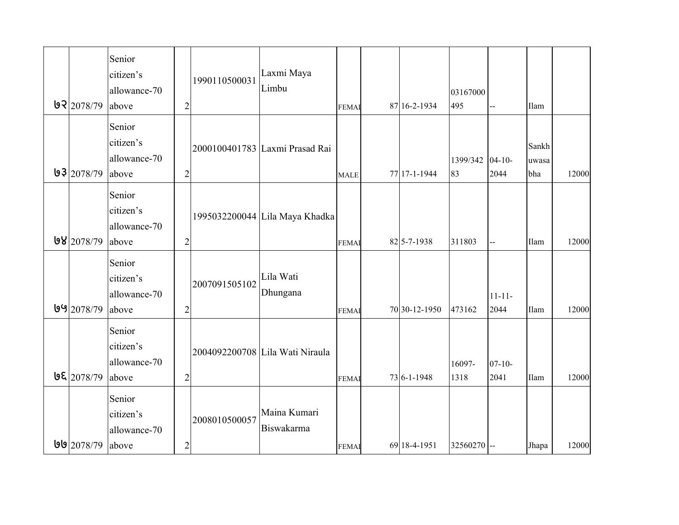|                   | Senior<br>citizen's<br>allowance-70          |                | 1990110500031 | Laxmi Maya<br>Limbu             |              |               | 03167000       |                     |                       |       |
|-------------------|----------------------------------------------|----------------|---------------|---------------------------------|--------------|---------------|----------------|---------------------|-----------------------|-------|
| 97 2078/79        | above                                        | $\overline{2}$ |               |                                 | <b>FEMAI</b> | 87 16-2-1934  | 495            |                     | Ilam                  |       |
| 93 2078/79        | Senior<br>citizen's<br>allowance-70<br>above | $\overline{2}$ |               | 2000100401783 Laxmi Prasad Rai  | <b>MALE</b>  | 77 17-1-1944  | 1399/342<br>83 | $04 - 10$<br>2044   | Sankh<br>uwasa<br>bha | 12000 |
| 98 2078/79        | Senior<br>citizen's<br>allowance-70<br>above | $\overline{2}$ |               | 1995032200044 Lila Maya Khadka  | <b>FEMAI</b> | 82 5-7-1938   | 311803         | $\overline{a}$      | Ilam                  | 12000 |
| $99$ 2078/79      | Senior<br>citizen's<br>allowance-70<br>above | $\overline{2}$ | 2007091505102 | Lila Wati<br>Dhungana           | <b>FEMA</b>  | 70 30-12-1950 | 473162         | $11 - 11 -$<br>2044 | Ilam                  | 12000 |
| <b>UE</b> 2078/79 | Senior<br>citizen's<br>allowance-70<br>above | $\overline{c}$ |               | 2004092200708 Lila Wati Niraula | <b>FEMA</b>  | 73 6-1-1948   | 16097-<br>1318 | $07 - 10 -$<br>2041 | Ilam                  | 12000 |
| $99$ 2078/79      | Senior<br>citizen's<br>allowance-70<br>above | $\overline{c}$ | 2008010500057 | Maina Kumari<br>Biswakarma      | <b>FEMAI</b> | 69 18-4-1951  | 32560270 --    |                     | Jhapa                 | 12000 |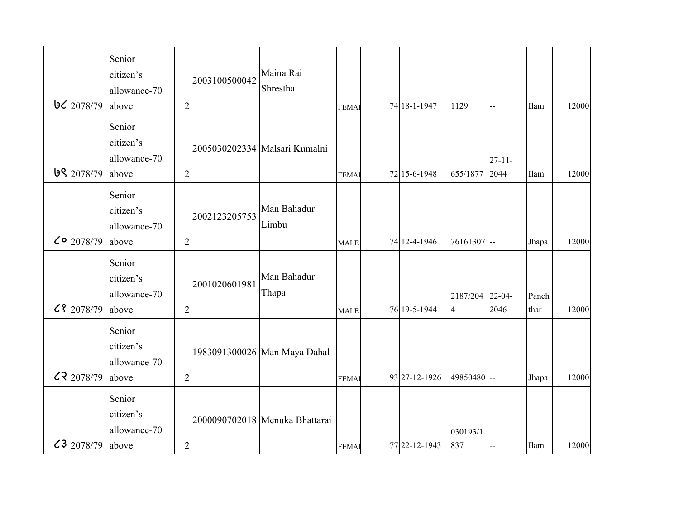|                      | Senior                    |                |               | Maina Rai                      |              |               |                 |             |       |       |
|----------------------|---------------------------|----------------|---------------|--------------------------------|--------------|---------------|-----------------|-------------|-------|-------|
|                      | citizen's<br>allowance-70 |                | 2003100500042 | Shrestha                       |              |               |                 |             |       |       |
| $9C$ 2078/79         | above                     | $\overline{2}$ |               |                                | <b>FEMAI</b> | 74 18-1-1947  | 1129            | --          | Ilam  | 12000 |
|                      | Senior                    |                |               |                                |              |               |                 |             |       |       |
|                      | citizen's                 |                |               |                                |              |               |                 |             |       |       |
|                      | allowance-70              |                |               | 2005030202334 Malsari Kumalni  |              |               |                 | $27 - 11 -$ |       |       |
| 9 2078/79            | above                     | $\overline{2}$ |               |                                | <b>FEMAI</b> | 72 15-6-1948  | 655/1877        | 2044        | Ilam  | 12000 |
|                      | Senior                    |                |               |                                |              |               |                 |             |       |       |
|                      | citizen's                 |                |               | Man Bahadur                    |              |               |                 |             |       |       |
|                      | allowance-70              |                | 2002123205753 | Limbu                          |              |               |                 |             |       |       |
| $C^{\circ}$ 2078/79  | above                     | $\overline{2}$ |               |                                | <b>MALE</b>  | 74 12-4-1946  | 76161307 --     |             | Jhapa | 12000 |
|                      | Senior                    |                |               |                                |              |               |                 |             |       |       |
|                      | citizen's                 |                | 2001020601981 | Man Bahadur                    |              |               |                 |             |       |       |
|                      | allowance-70              |                |               | Thapa                          |              |               | 2187/204 22-04- |             | Panch |       |
| $C$   2078/79        | above                     | $\overline{2}$ |               |                                | <b>MALE</b>  | 76 19-5-1944  | $\overline{4}$  | 2046        | thar  | 12000 |
|                      | Senior                    |                |               |                                |              |               |                 |             |       |       |
|                      | citizen's                 |                |               | 1983091300026 Man Maya Dahal   |              |               |                 |             |       |       |
|                      | allowance-70              |                |               |                                |              |               |                 |             |       |       |
| C2078/79             | above                     | $\overline{2}$ |               |                                | <b>FEMA</b>  | 93 27-12-1926 | 49850480 --     |             | Jhapa | 12000 |
|                      | Senior                    |                |               |                                |              |               |                 |             |       |       |
|                      | citizen's                 |                |               | 2000090702018 Menuka Bhattarai |              |               |                 |             |       |       |
|                      | allowance-70              |                |               |                                |              |               | 030193/1        |             |       |       |
| $c3$  2078/79  above |                           | $\sqrt{2}$     |               |                                | <b>FEMA</b>  | 77 22-12-1943 | 837             |             | Ilam  | 12000 |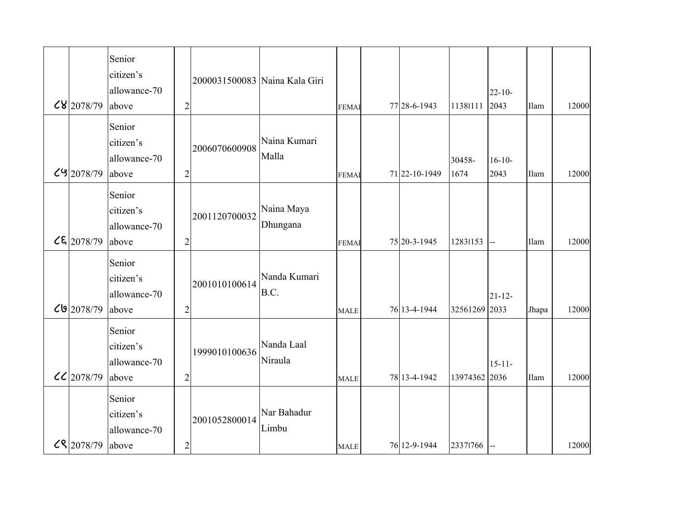| $<$ 8 2078/79           | Senior<br>citizen's<br>allowance-70<br>above | $\overline{2}$ | 2000031500083 Naina Kala Giri |                        | <b>FEMAI</b> | 77 28-6-1943  | 11381111       | $22 - 10$<br>2043   | Ilam  | 12000 |
|-------------------------|----------------------------------------------|----------------|-------------------------------|------------------------|--------------|---------------|----------------|---------------------|-------|-------|
| $C9$ 2078/79            | Senior<br>citizen's<br>allowance-70<br>above | $\overline{2}$ | 2006070600908                 | Naina Kumari<br>Malla  | <b>FEMAI</b> | 71 22-10-1949 | 30458-<br>1674 | $16 - 10 -$<br>2043 | Ilam  | 12000 |
| $\mathcal{L}$ (2078/79) | Senior<br>citizen's<br>allowance-70<br>above | $\overline{2}$ | 2001120700032                 | Naina Maya<br>Dhungana | <b>FEMA</b>  | 75 20-3-1945  | 12831153       | $\bar{\phantom{a}}$ | Ilam  | 12000 |
| 2078/79 <b>کال</b>      | Senior<br>citizen's<br>allowance-70<br>above | $\overline{2}$ | 2001010100614                 | Nanda Kumari<br>B.C.   | <b>MALE</b>  | 76 13-4-1944  | 32561269 2033  | $21 - 12 -$         | Jhapa | 12000 |
| $CC$ 2078/79            | Senior<br>citizen's<br>allowance-70<br>above | $\overline{c}$ | 1999010100636                 | Nanda Laal<br>Niraula  | <b>MALE</b>  | 78 13-4-1942  | 13974362 2036  | $15 - 11 -$         | Ilam  | 12000 |
| CR 2078/79 above        | Senior<br>citizen's<br>allowance-70          | $\sqrt{2}$     | 2001052800014                 | Nar Bahadur<br>Limbu   | <b>MALE</b>  | 76 12-9-1944  | 23371766       |                     |       | 12000 |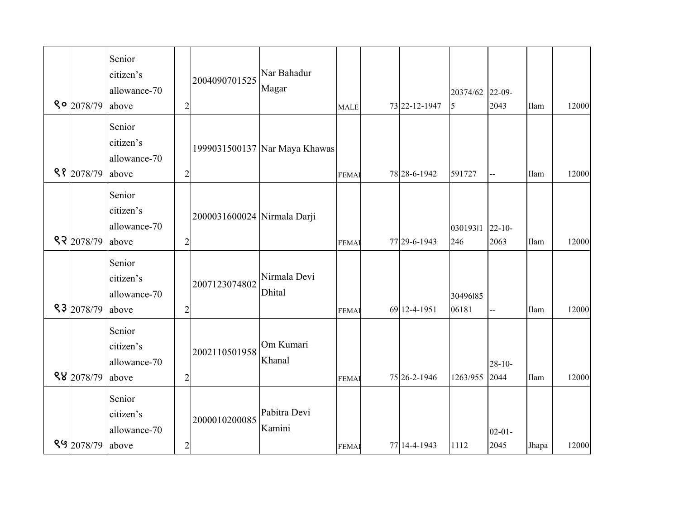| $80$ 2078/79     | Senior<br>citizen's<br>allowance-70<br>above | $\overline{2}$ | 2004090701525               | Nar Bahadur<br>Magar          | <b>MALE</b>  | 73 22-12-1947 | 20374/62<br>5          | $22 - 09$<br>2043   | Ilam  | 12000 |
|------------------|----------------------------------------------|----------------|-----------------------------|-------------------------------|--------------|---------------|------------------------|---------------------|-------|-------|
| 98 2078/79       | Senior<br>citizen's<br>allowance-70<br>above | $\overline{c}$ |                             | 1999031500137 Nar Maya Khawas | <b>FEMAI</b> | 78 28-6-1942  | 591727                 | $-1$                | Ilam  | 12000 |
| 97 2078/79       | Senior<br>citizen's<br>allowance-70<br>above | $\overline{2}$ | 2000031600024 Nirmala Darji |                               | <b>FEMAI</b> | 77 29-6-1943  | 03019311 22-10-<br>246 | 2063                | Ilam  | 12000 |
| 83 2078/79       | Senior<br>citizen's<br>allowance-70<br>above | $\overline{2}$ | 2007123074802               | Nirmala Devi<br><b>Dhital</b> | <b>FEMAI</b> | 69 12-4-1951  | 30496185<br>06181      | Щ,                  | Ilam  | 12000 |
| 88 2078/79       | Senior<br>citizen's<br>allowance-70<br>above | $\overline{2}$ | 2002110501958               | Om Kumari<br>Khanal           | <b>FEMAI</b> | 75 26-2-1946  | 1263/955               | $28 - 10 -$<br>2044 | Ilam  | 12000 |
| 89 2078/79 above | Senior<br>citizen's<br>allowance-70          | $\sqrt{2}$     | 2000010200085               | Pabitra Devi<br>Kamini        | <b>FEMA</b>  | 77 14-4-1943  | 1112                   | $02 - 01 -$<br>2045 | Jhapa | 12000 |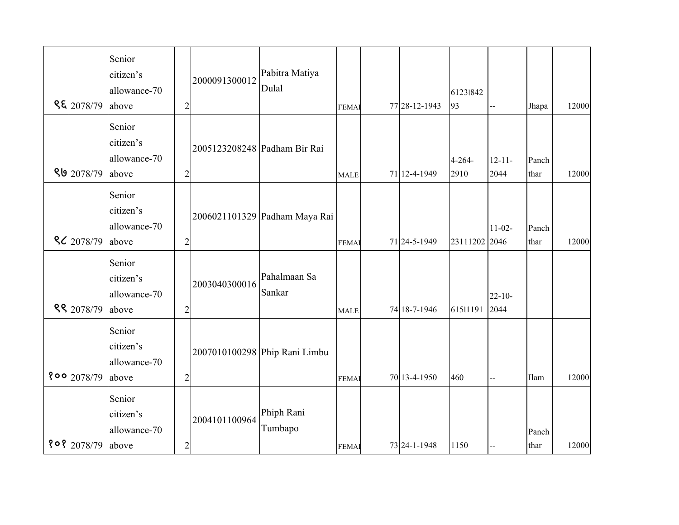| ९६ 2078/79          | Senior<br>citizen's<br>allowance-70<br>above | $\overline{2}$ | 2000091300012                | Pabitra Matiya<br>Dulal       | <b>FEMAI</b> | 77 28-12-1943 | 61231842<br>93      |                     | Jhapa         | 12000 |
|---------------------|----------------------------------------------|----------------|------------------------------|-------------------------------|--------------|---------------|---------------------|---------------------|---------------|-------|
| 89 2078/79          | Senior<br>citizen's<br>allowance-70<br>above | $\overline{2}$ | 2005123208248 Padham Bir Rai |                               | <b>MALE</b>  | 71 12-4-1949  | $4 - 264 -$<br>2910 | $12 - 11 -$<br>2044 | Panch<br>thar | 12000 |
| $\frac{8}{2078/79}$ | Senior<br>citizen's<br>allowance-70<br>above | $\overline{2}$ |                              | 2006021101329 Padham Maya Rai | <b>FEMAI</b> | 71 24-5-1949  | 23111202 2046       | $11-02-$            | Panch<br>thar | 12000 |
| 88 2078/79          | Senior<br>citizen's<br>allowance-70<br>above | $\overline{2}$ | 2003040300016                | Pahalmaan Sa<br>Sankar        | <b>MALE</b>  | 74 18-7-1946  | 61511191            | $22 - 10 -$<br>2044 |               |       |
| 800 2078/79         | Senior<br>citizen's<br>allowance-70<br>above | $\overline{c}$ |                              | 2007010100298 Phip Rani Limbu | <b>FEMA</b>  | 70 13-4-1950  | 460                 |                     | Ilam          | 12000 |
| $808$ 2078/79       | Senior<br>citizen's<br>allowance-70<br>above | $\overline{c}$ | 2004101100964                | Phiph Rani<br>Tumbapo         | <b>FEMAI</b> | 73 24-1-1948  | 1150                |                     | Panch<br>thar | 12000 |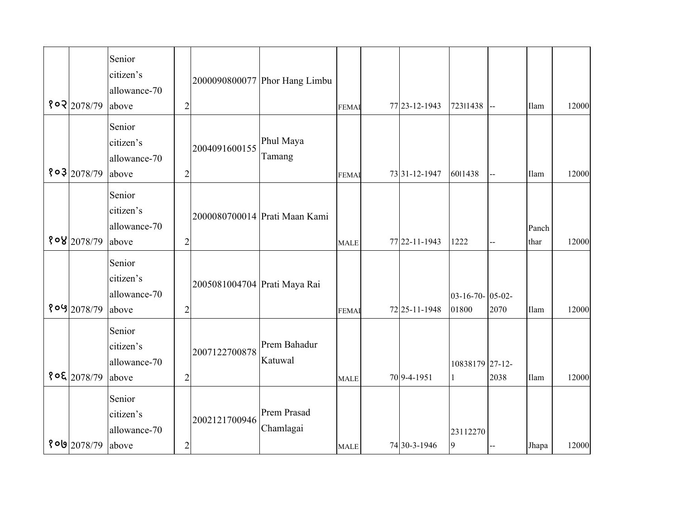| $8$ o $2078/79$     | Senior<br>citizen's<br>allowance-70<br>above | $\overline{2}$ |                              | 2000090800077 Phor Hang Limbu | <b>FEMAI</b> | 77 23-12-1943     | 72311438                  | $\overline{a}$ | Ilam          | 12000 |
|---------------------|----------------------------------------------|----------------|------------------------------|-------------------------------|--------------|-------------------|---------------------------|----------------|---------------|-------|
| 803 2078/79         | Senior<br>citizen's<br>allowance-70<br>above | $\overline{2}$ | 2004091600155                | Phul Maya<br>Tamang           | <b>FEMAI</b> | 73 31 - 12 - 1947 | 6011438                   |                | Ilam          | 12000 |
| 808 2078/79         | Senior<br>citizen's<br>allowance-70<br>above | $\overline{2}$ |                              | 2000080700014 Prati Maan Kami | <b>MALE</b>  | 77 22-11-1943     | 1222                      | $-$            | Panch<br>thar | 12000 |
| 809 2078/79         | Senior<br>citizen's<br>allowance-70<br>above | $\overline{2}$ | 2005081004704 Prati Maya Rai |                               | <b>FEMA</b>  | 72 25-11-1948     | 03-16-70- 05-02-<br>01800 | 2070           | Ilam          | 12000 |
| $8$ o & $2078/79$   | Senior<br>citizen's<br>allowance-70<br>above | $\overline{c}$ | 2007122700878                | Prem Bahadur<br>Katuwal       | <b>MALE</b>  | 70 9-4-1951       | 10838179 27-12-           | 2038           | Ilam          | 12000 |
| <b>የ 이의</b> 2078/79 | Senior<br>citizen's<br>allowance-70<br>above | $\overline{c}$ | 2002121700946                | Prem Prasad<br>Chamlagai      | <b>MALE</b>  | 74 30-3-1946      | 23112270<br>9             |                | Jhapa         | 12000 |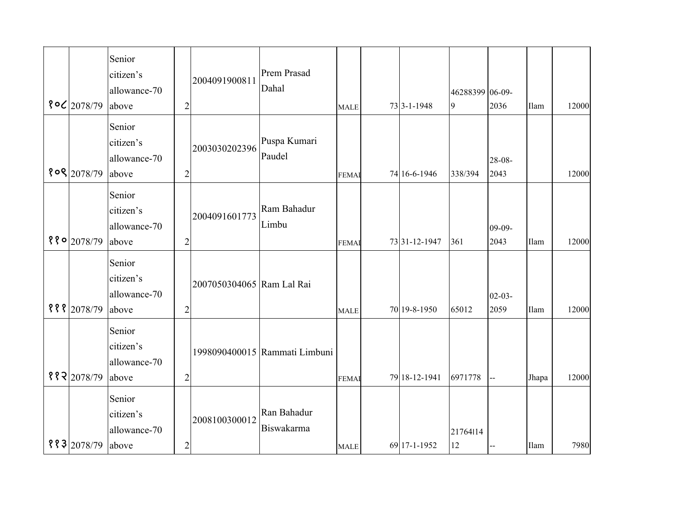|                          | Senior       |                |                           |                               |              |               |                 |             |       |       |
|--------------------------|--------------|----------------|---------------------------|-------------------------------|--------------|---------------|-----------------|-------------|-------|-------|
|                          | citizen's    |                | 2004091900811             | Prem Prasad                   |              |               |                 |             |       |       |
|                          | allowance-70 |                |                           | Dahal                         |              |               | 46288399 06-09- |             |       |       |
| 8°C 2078/79              | above        | $\overline{c}$ |                           |                               | <b>MALE</b>  | 73 3-1-1948   | 9               | 2036        | Ilam  | 12000 |
|                          | Senior       |                |                           |                               |              |               |                 |             |       |       |
|                          | citizen's    |                |                           | Puspa Kumari                  |              |               |                 |             |       |       |
|                          | allowance-70 |                | 2003030202396             | Paudel                        |              |               |                 | $28 - 08 -$ |       |       |
| 808 2078/79              | above        | $\overline{2}$ |                           |                               | <b>FEMAI</b> | 74 16-6-1946  | 338/394         | 2043        |       | 12000 |
|                          | Senior       |                |                           |                               |              |               |                 |             |       |       |
|                          | citizen's    |                |                           | Ram Bahadur                   |              |               |                 |             |       |       |
|                          |              |                | 2004091601773             | Limbu                         |              |               |                 |             |       |       |
|                          | allowance-70 |                |                           |                               |              |               |                 | $09-09-$    |       |       |
| $880$ <sub>2078/79</sub> | above        | $\overline{2}$ |                           |                               | <b>FEMAI</b> | 73 31-12-1947 | 361             | 2043        | Ilam  | 12000 |
|                          | Senior       |                |                           |                               |              |               |                 |             |       |       |
|                          | citizen's    |                | 2007050304065 Ram Lal Rai |                               |              |               |                 |             |       |       |
|                          | allowance-70 |                |                           |                               |              |               |                 | $02 - 03 -$ |       |       |
| $888$  2078/79           | above        | $\overline{2}$ |                           |                               | <b>MALE</b>  | 70 19-8-1950  | 65012           | 2059        | Ilam  | 12000 |
|                          | Senior       |                |                           |                               |              |               |                 |             |       |       |
|                          |              |                |                           |                               |              |               |                 |             |       |       |
|                          | citizen's    |                |                           | 1998090400015 Rammati Limbuni |              |               |                 |             |       |       |
|                          | allowance-70 |                |                           |                               |              |               |                 |             |       |       |
| 882 2078/79              | above        | $\overline{c}$ |                           |                               | <b>FEMAI</b> | 79 18-12-1941 | 6971778         |             | Jhapa | 12000 |
|                          | Senior       |                |                           |                               |              |               |                 |             |       |       |
|                          | citizen's    |                | 2008100300012             | Ran Bahadur                   |              |               |                 |             |       |       |
|                          | allowance-70 |                |                           | Biswakarma                    |              |               | 21764114        |             |       |       |
| 883 2078/79              | above        | $\overline{c}$ |                           |                               | <b>MALE</b>  | 69 17-1-1952  | 12              |             | Ilam  | 7980  |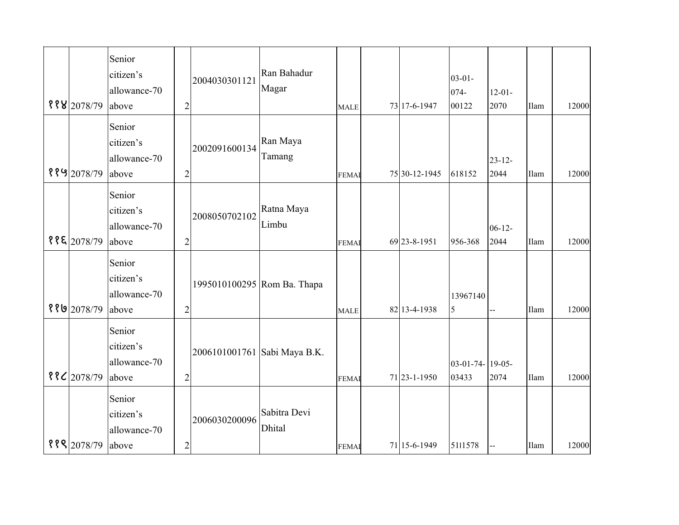| 8882078/79    | Senior<br>citizen's<br>allowance-70<br>above | $\overline{2}$ | 2004030301121                | Ran Bahadur<br>Magar          | <b>MALE</b>  | 73 17-6-1947  | $03 - 01 -$<br>074-<br>00122 | $12 - 01 -$<br>2070 | Ilam | 12000 |
|---------------|----------------------------------------------|----------------|------------------------------|-------------------------------|--------------|---------------|------------------------------|---------------------|------|-------|
| ११५ 2078/79   | Senior<br>citizen's<br>allowance-70<br>above | $\overline{c}$ | 2002091600134                | Ran Maya<br>Tamang            | <b>FEMAI</b> | 75 30-12-1945 | 618152                       | $23 - 12$<br>2044   | Ilam | 12000 |
| $88$ [2078/79 | Senior<br>citizen's<br>allowance-70<br>above | $\overline{c}$ | 2008050702102                | Ratna Maya<br>Limbu           | <b>FEMAI</b> | 69 23-8-1951  | 956-368                      | $06 - 12 -$<br>2044 | Ilam | 12000 |
| ११७ 2078/79   | Senior<br>citizen's<br>allowance-70<br>above | $\overline{c}$ | 1995010100295 Rom Ba. Thapa  |                               | <b>MALE</b>  | 82 13-4-1938  | 13967140<br>5                | $\mathbf{u}$        | Ilam | 12000 |
| $88C$ 2078/79 | Senior<br>citizen's<br>allowance-70<br>above | $\overline{2}$ | 2006101001761 Sabi Maya B.K. |                               | <b>FEMA</b>  | 71 23-1-1950  | 03-01-74- 19-05-<br>03433    | 2074                | Ilam | 12000 |
| 8882078/79    | Senior<br>citizen's<br>allowance-70<br>above | $\overline{c}$ | 2006030200096                | Sabitra Devi<br><b>Dhital</b> | <b>FEMAI</b> | 71 15-6-1949  | 5111578                      |                     | Ilam | 12000 |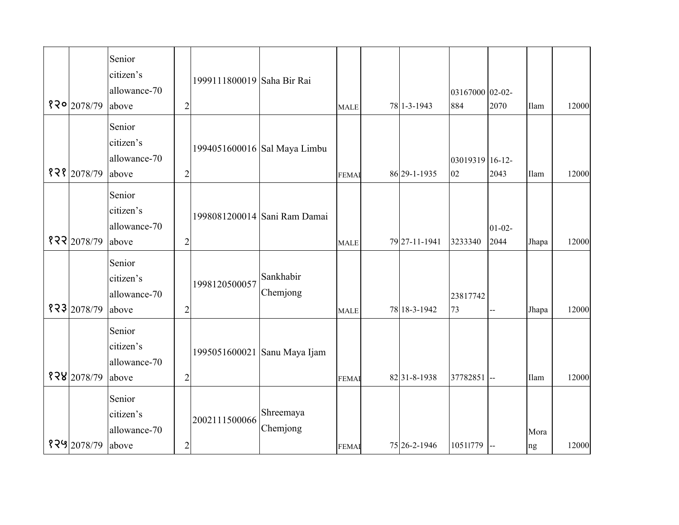| $820$ 2078/79 | Senior<br>citizen's<br>allowance-70<br>above | $\overline{2}$ | 1999111800019 Saha Bir Rai |                              | <b>MALE</b>  | 78 1-3-1943   | 03167000 02-02-<br>884 | 2070                | Ilam       | 12000 |
|---------------|----------------------------------------------|----------------|----------------------------|------------------------------|--------------|---------------|------------------------|---------------------|------------|-------|
| 828 2078/79   | Senior<br>citizen's<br>allowance-70<br>above | $\overline{2}$ |                            | 1994051600016 Sal Maya Limbu | <b>FEMAI</b> | 86 29-1-1935  | 03019319 16-12-<br>02  | 2043                | Ilam       | 12000 |
| 822 2078/79   | Senior<br>citizen's<br>allowance-70<br>above | $\overline{2}$ |                            | 1998081200014 Sani Ram Damai | <b>MALE</b>  | 79 27-11-1941 | 3233340                | $01 - 02 -$<br>2044 | Jhapa      | 12000 |
| 323 2078/79   | Senior<br>citizen's<br>allowance-70<br>above | $\overline{2}$ | 1998120500057              | Sankhabir<br>Chemjong        | <b>MALE</b>  | 78 18-3-1942  | 23817742<br>73         | $\overline{a}$      | Jhapa      | 12000 |
| 828 2078/79   | Senior<br>citizen's<br>allowance-70<br>above | $\overline{c}$ |                            | 1995051600021 Sanu Maya Ijam | <b>FEMA</b>  | 8231-8-1938   | 37782851 --            |                     | Ilam       | 12000 |
| १२५ 2078/79   | Senior<br>citizen's<br>allowance-70<br>above | $\overline{c}$ | 2002111500066              | Shreemaya<br>Chemjong        | <b>FEMAI</b> | 75 26-2-1946  | 10511779               |                     | Mora<br>ng | 12000 |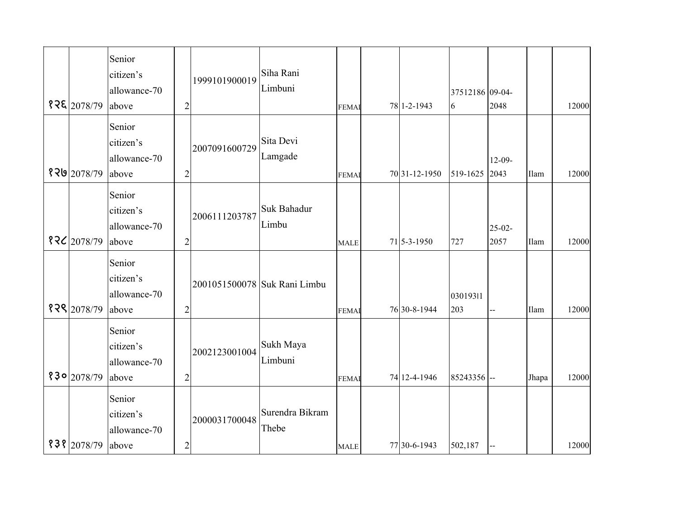|             | Senior<br>citizen's                          |                | 1999101900019 | Siha Rani                    |              |                   |                 |             |       |       |
|-------------|----------------------------------------------|----------------|---------------|------------------------------|--------------|-------------------|-----------------|-------------|-------|-------|
|             | allowance-70                                 |                |               | Limbuni                      |              |                   | 37512186 09-04- |             |       |       |
| 828 2078/79 | above                                        | $\overline{c}$ |               |                              | <b>FEMA</b>  | 78 1-2-1943       | 6               | 2048        |       | 12000 |
|             | Senior                                       |                |               |                              |              |                   |                 |             |       |       |
|             | citizen's                                    |                | 2007091600729 | Sita Devi                    |              |                   |                 |             |       |       |
|             | allowance-70                                 |                |               | Lamgade                      |              |                   |                 | $12-09-$    |       |       |
| १२७ 2078/79 | above                                        | $\overline{2}$ |               |                              | <b>FEMAI</b> | 70 31 - 12 - 1950 | 519-1625        | 2043        | Ilam  | 12000 |
|             | Senior<br>citizen's                          |                | 2006111203787 | Suk Bahadur                  |              |                   |                 |             |       |       |
|             | allowance-70                                 |                |               | Limbu                        |              |                   |                 | $25 - 02 -$ |       |       |
| १२८ 2078/79 | above                                        | $\overline{c}$ |               |                              | <b>MALE</b>  | 71 5-3-1950       | 727             | 2057        | Ilam  | 12000 |
| १२९ 2078/79 | Senior<br>citizen's<br>allowance-70<br>above | $\overline{2}$ |               | 2001051500078 Suk Rani Limbu | <b>FEMAI</b> | 76 30-8-1944      | 03019311<br>203 | Щ,          | Ilam  | 12000 |
| 830 2078/79 | Senior<br>citizen's<br>allowance-70<br>above | $\overline{2}$ | 2002123001004 | Sukh Maya<br>Limbuni         | <b>FEMA</b>  | 74 12-4-1946      | 85243356 --     |             | Jhapa | 12000 |
| १३१ 2078/79 | Senior<br>citizen's<br>allowance-70<br>above | $\overline{c}$ | 2000031700048 | Surendra Bikram<br>Thebe     | <b>MALE</b>  | 77 30-6-1943      | 502,187         |             |       | 12000 |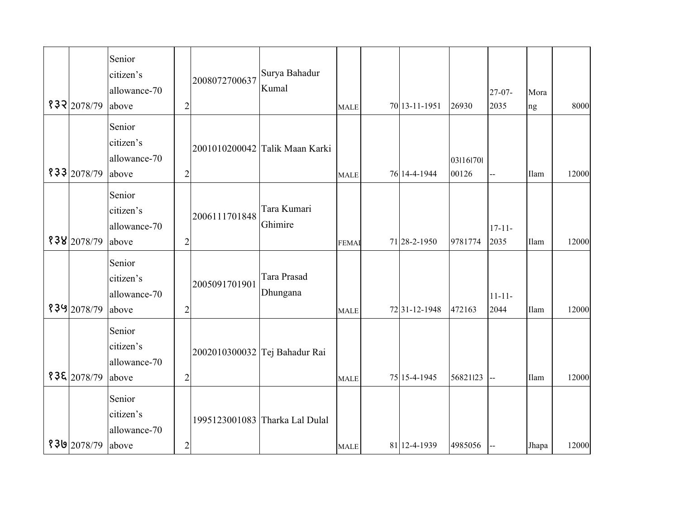| 832 2078/79 | Senior<br>citizen's<br>allowance-70<br>above | $\overline{2}$ | 2008072700637 | Surya Bahadur<br>Kumal         | <b>MALE</b> | 70 13-11-1951 | 26930              | $27 - 07 -$<br>2035 | Mora<br>ng | 8000  |
|-------------|----------------------------------------------|----------------|---------------|--------------------------------|-------------|---------------|--------------------|---------------------|------------|-------|
| 833 2078/79 | Senior<br>citizen's<br>allowance-70<br>above | $\overline{2}$ |               | 2001010200042 Talik Maan Karki | <b>MALE</b> | 76 14-4-1944  | 031161701<br>00126 |                     | Ilam       | 12000 |
| 838 2078/79 | Senior<br>citizen's<br>allowance-70<br>above | $\overline{2}$ | 2006111701848 | Tara Kumari<br>Ghimire         | <b>FEMA</b> | 71 28-2-1950  | 9781774            | $17 - 11 -$<br>2035 | Ilam       | 12000 |
| १३५ 2078/79 | Senior<br>citizen's<br>allowance-70<br>above | $\overline{2}$ | 2005091701901 | Tara Prasad<br>Dhungana        | <b>MALE</b> | 7231-12-1948  | 472163             | $11 - 11 -$<br>2044 | Ilam       | 12000 |
| 838 2078/79 | Senior<br>citizen's<br>allowance-70<br>above | $\overline{c}$ |               | 2002010300032 Tej Bahadur Rai  | <b>MALE</b> | 75 15-4-1945  | 56821123           |                     | Ilam       | 12000 |
| १३७ 2078/79 | Senior<br>citizen's<br>allowance-70<br>above | $\overline{c}$ |               | 1995123001083 Tharka Lal Dulal | <b>MALE</b> | 81 12-4-1939  | 4985056            |                     | Jhapa      | 12000 |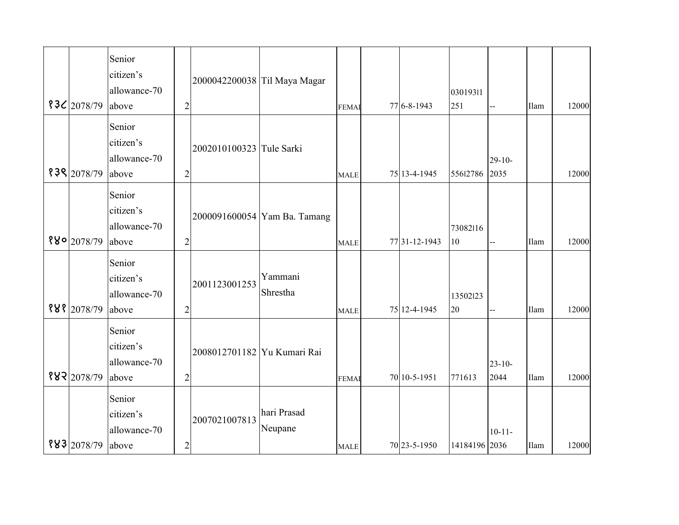| $83C$ 2078/79            | Senior<br>citizen's<br>allowance-70<br>above | $\overline{2}$ | 2000042200038 Til Maya Magar |                              | <b>FEMAI</b> | 77 6-8-1943   | 03019311<br>251 |                     | Ilam        | 12000 |
|--------------------------|----------------------------------------------|----------------|------------------------------|------------------------------|--------------|---------------|-----------------|---------------------|-------------|-------|
| 838 2078/79              | Senior<br>citizen's<br>allowance-70<br>above | $\overline{c}$ | 2002010100323 Tule Sarki     |                              | <b>MALE</b>  | 75 13-4-1945  | 55612786        | $29 - 10 -$<br>2035 |             | 12000 |
| $880$ <sub>2078/79</sub> | Senior<br>citizen's<br>allowance-70<br>above | $\overline{c}$ |                              | 2000091600054 Yam Ba. Tamang | <b>MALE</b>  | 77 31-12-1943 | 73082116<br>10  | --                  | <b>Ilam</b> | 12000 |
| 888 2078/79              | Senior<br>citizen's<br>allowance-70<br>above | $\overline{2}$ | 2001123001253                | Yammani<br>Shrestha          | <b>MALE</b>  | 75 12-4-1945  | 13502123<br>20  | --                  | Ilam        | 12000 |
| 882 2078/79              | Senior<br>citizen's<br>allowance-70<br>above | $\overline{2}$ | 2008012701182 Yu Kumari Rai  |                              | <b>FEMA</b>  | 70 10-5-1951  | 771613          | $23 - 10$<br>2044   | Ilam        | 12000 |
| 883 2078/79              | Senior<br>citizen's<br>allowance-70<br>above | $\overline{c}$ | 2007021007813                | hari Prasad<br>Neupane       | <b>MALE</b>  | 70 23-5-1950  | 14184196 2036   | $10 - 11 -$         | Ilam        | 12000 |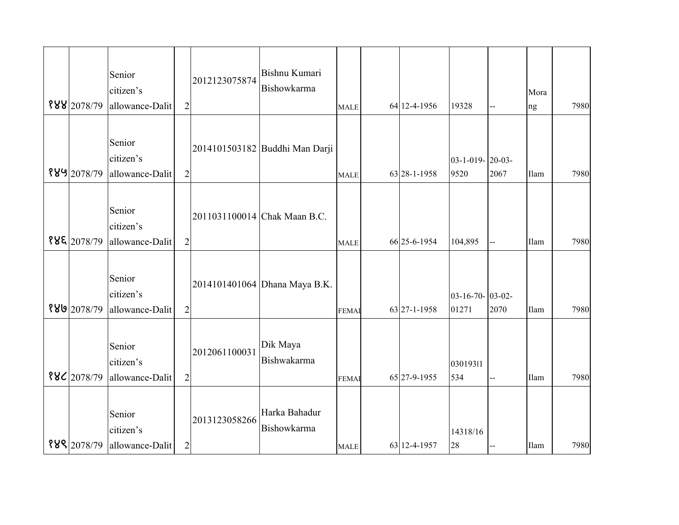|                     | Senior          |                |               | Bishnu Kumari                  |             |              |                     |      |             |      |
|---------------------|-----------------|----------------|---------------|--------------------------------|-------------|--------------|---------------------|------|-------------|------|
|                     |                 |                | 2012123075874 | Bishowkarma                    |             |              |                     |      |             |      |
| 888 2078/79         | citizen's       |                |               |                                |             |              |                     |      | Mora        |      |
|                     | allowance-Dalit | $\overline{2}$ |               |                                | <b>MALE</b> | 64 12-4-1956 | 19328               | $-$  | ng          | 7980 |
|                     |                 |                |               |                                |             |              |                     |      |             |      |
|                     | Senior          |                |               | 2014101503182 Buddhi Man Darji |             |              |                     |      |             |      |
|                     | citizen's       |                |               |                                |             |              | $03-1-019-20-03-$   |      |             |      |
| 8892078/79          | allowance-Dalit | $\overline{2}$ |               |                                | <b>MALE</b> | 63 28-1-1958 | 9520                | 2067 | Ilam        | 7980 |
|                     |                 |                |               |                                |             |              |                     |      |             |      |
|                     | Senior          |                |               |                                |             |              |                     |      |             |      |
|                     | citizen's       |                |               | 2011031100014 Chak Maan B.C.   |             |              |                     |      |             |      |
| १४६ 2078/79         | allowance-Dalit | $\overline{2}$ |               |                                |             | 66 25-6-1954 | 104,895             |      | <b>Ilam</b> | 7980 |
|                     |                 |                |               |                                | <b>MALE</b> |              |                     |      |             |      |
|                     |                 |                |               |                                |             |              |                     |      |             |      |
|                     | Senior          |                |               | 2014101401064 Dhana Maya B.K.  |             |              |                     |      |             |      |
|                     | citizen's       |                |               |                                |             |              | $03-16-70$ - 03-02- |      |             |      |
| <b>ዩ ४७</b> 2078/79 | allowance-Dalit | $\overline{2}$ |               |                                | <b>FEMA</b> | 63 27-1-1958 | 01271               | 2070 | Ilam        | 7980 |
|                     |                 |                |               |                                |             |              |                     |      |             |      |
|                     | Senior          |                |               | Dik Maya                       |             |              |                     |      |             |      |
|                     | citizen's       |                | 2012061100031 | Bishwakarma                    |             |              | 03019311            |      |             |      |
| $88C$ 2078/79       | allowance-Dalit | $\overline{2}$ |               |                                | <b>FEMA</b> | 65 27-9-1955 | 534                 |      | Ilam        | 7980 |
|                     |                 |                |               |                                |             |              |                     |      |             |      |
|                     |                 |                |               |                                |             |              |                     |      |             |      |
|                     | Senior          |                | 2013123058266 | Harka Bahadur                  |             |              |                     |      |             |      |
|                     | citizen's       |                |               | Bishowkarma                    |             |              | 14318/16            |      |             |      |
| 888 2078/79         | allowance-Dalit | $\overline{2}$ |               |                                | <b>MALE</b> | 63 12-4-1957 | 28                  |      | Ilam        | 7980 |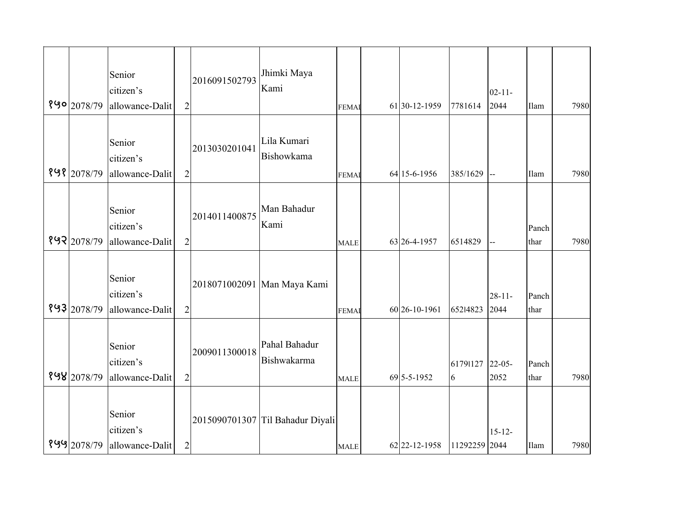| 890 2078/79 | Senior<br>citizen's<br>allowance-Dalit | $\overline{2}$ | 2016091502793 | Jhimki Maya<br>Kami              | <b>FEMAI</b> | 61 30-12-1959 | 7781614       | $02 - 11 -$<br>2044 | Ilam          | 7980 |
|-------------|----------------------------------------|----------------|---------------|----------------------------------|--------------|---------------|---------------|---------------------|---------------|------|
| १५१ 2078/79 | Senior<br>citizen's<br>allowance-Dalit | $\overline{c}$ | 2013030201041 | Lila Kumari<br>Bishowkama        | <b>FEMAI</b> | 64 15-6-1956  | 385/1629      | Ц,                  | Ilam          | 7980 |
| १५२ 2078/79 | Senior<br>citizen's<br>allowance-Dalit | $\overline{2}$ | 2014011400875 | Man Bahadur<br>Kami              | <b>MALE</b>  | 63 26-4-1957  | 6514829       | ш.,                 | Panch<br>thar | 7980 |
| १५३ 2078/79 | Senior<br>citizen's<br>allowance-Dalit | $\overline{2}$ |               | 2018071002091 Man Maya Kami      | <b>FEMAI</b> | 60 26-10-1961 | 65214823      | $28 - 11 -$<br>2044 | Panch<br>thar |      |
| 898 2078/79 | Senior<br>citizen's<br>allowance-Dalit | $\overline{2}$ | 2009011300018 | Pahal Bahadur<br>Bishwakarma     | <b>MALE</b>  | 69 5-5-1952   | 61791127<br>6 | $22 - 05 -$<br>2052 | Panch<br>thar | 7980 |
| 899 2078/79 | Senior<br>citizen's<br>allowance-Dalit | $\mathbf{2}$   |               | 2015090701307 Til Bahadur Diyali | <b>MALE</b>  | 62 22-12-1958 | 11292259 2044 | $15 - 12 -$         | Ilam          | 7980 |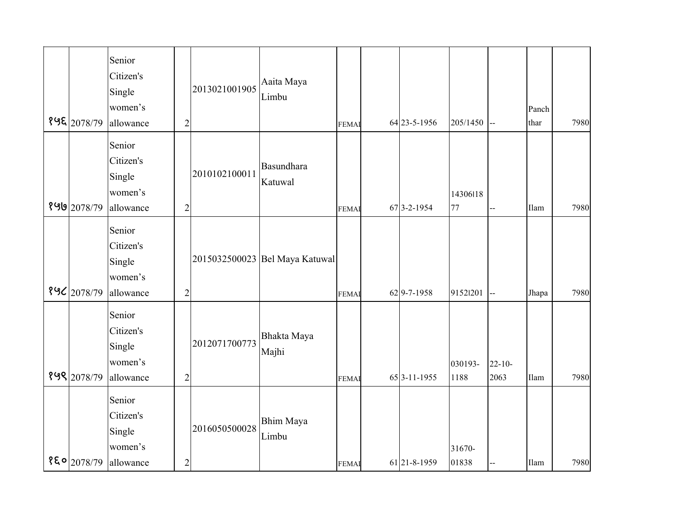| १५६ 2078/79   | Senior<br>Citizen's<br>Single<br>women's<br>allowance | $\overline{c}$ | 2013021001905 | Aaita Maya<br>Limbu            | <b>FEMA</b> | 64 23-5-1956 | 205/1450        | ш.,                 | Panch<br>thar | 7980 |
|---------------|-------------------------------------------------------|----------------|---------------|--------------------------------|-------------|--------------|-----------------|---------------------|---------------|------|
| 8 9 2078/79   | Senior<br>Citizen's<br>Single<br>women's<br>allowance | $\overline{2}$ | 2010102100011 | Basundhara<br>Katuwal          | <b>FEMA</b> | 67 3-2-1954  | 14306118<br>77  | Ц,                  | Ilam          | 7980 |
| 896 2078/79   | Senior<br>Citizen's<br>Single<br>women's<br>allowance | $\overline{2}$ |               | 2015032500023 Bel Maya Katuwal | <b>FEMA</b> | 62 9-7-1958  | 91521201        | LL.                 | Jhapa         | 7980 |
| १५९ 2078/79   | Senior<br>Citizen's<br>Single<br>women's<br>allowance | $\overline{2}$ | 2012071700773 | Bhakta Maya<br>Majhi           | <b>FEMA</b> | 65 3-11-1955 | 030193-<br>1188 | $22 - 10 -$<br>2063 | Ilam          | 7980 |
| $850$ 2078/79 | Senior<br>Citizen's<br>Single<br>women's<br>allowance | $\overline{c}$ | 2016050500028 | <b>Bhim Maya</b><br>Limbu      | <b>FEMA</b> | 61 21-8-1959 | 31670-<br>01838 |                     | Ilam          | 7980 |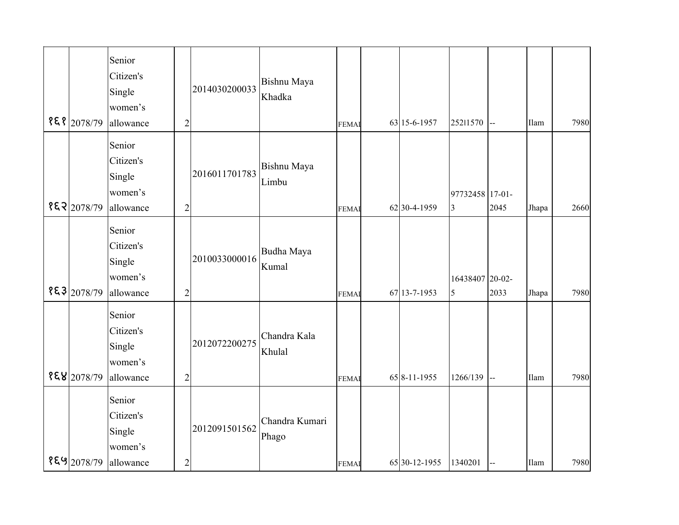| १६१ 2078/79    | Senior<br>Citizen's<br>Single<br>women's<br>allowance | $\overline{c}$ | 2014030200033 | Bishnu Maya<br>Khadka   | <b>FEMA</b> | 63 15-6-1957  | 25211570                          | ш.,  | Ilam  | 7980 |
|----------------|-------------------------------------------------------|----------------|---------------|-------------------------|-------------|---------------|-----------------------------------|------|-------|------|
| 853 2078/79    | Senior<br>Citizen's<br>Single<br>women's<br>allowance | $\overline{2}$ | 2016011701783 | Bishnu Maya<br>Limbu    | <b>FEMA</b> | 62 30-4-1959  | 97732458 17-01-<br>$\overline{3}$ | 2045 | Jhapa | 2660 |
| 853 2078/79    | Senior<br>Citizen's<br>Single<br>women's<br>allowance | $\overline{2}$ | 2010033000016 | Budha Maya<br>Kumal     | <b>FEMA</b> | 67 13-7-1953  | 16438407 20-02-<br>$\overline{5}$ | 2033 | Jhapa | 7980 |
| $888$  2078/79 | Senior<br>Citizen's<br>Single<br>women's<br>allowance | $\overline{2}$ | 2012072200275 | Chandra Kala<br>Khulal  | <b>FEMA</b> | 65 8-11-1955  | 1266/139                          | ш.   | Ilam  | 7980 |
| १६५ 2078/79    | Senior<br>Citizen's<br>Single<br>women's<br>allowance | $\overline{c}$ | 2012091501562 | Chandra Kumari<br>Phago | <b>FEMA</b> | 65 30-12-1955 | 1340201                           | --   | Ilam  | 7980 |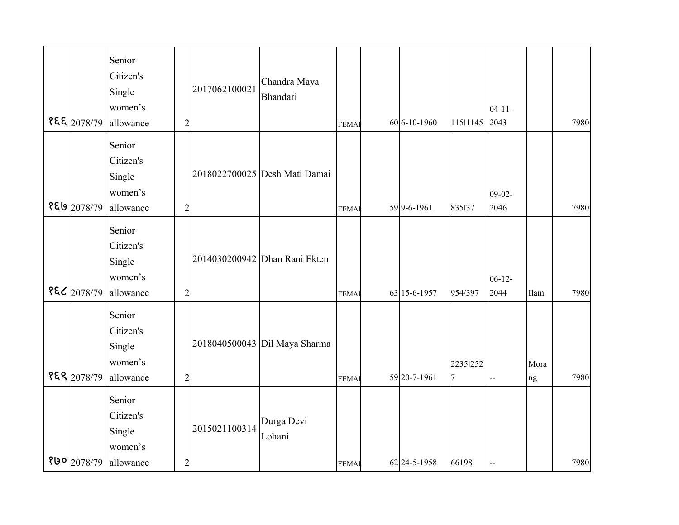| १६६ 2078/79             | Senior<br>Citizen's<br>Single<br>women's<br>allowance | $\overline{2}$ | 2017062100021 | Chandra Maya<br><b>Bhandari</b> | <b>FEMAI</b> | 60 6-10-1960 | 11511145                   | $04 - 11 -$<br>2043 |            | 7980 |
|-------------------------|-------------------------------------------------------|----------------|---------------|---------------------------------|--------------|--------------|----------------------------|---------------------|------------|------|
| १६७ 2078/79             | Senior<br>Citizen's<br>Single<br>women's<br>allowance | $\overline{2}$ |               | 2018022700025 Desh Mati Damai   | <b>FEMA</b>  | 59 9-6-1961  | 835137                     | $09-02-$<br>2046    |            | 7980 |
| १६८ 2078/79             | Senior<br>Citizen's<br>Single<br>women's<br>allowance | $\overline{2}$ |               | 2014030200942 Dhan Rani Ekten   | <b>FEMA</b>  | 63 15-6-1957 | 954/397                    | $06 - 12 -$<br>2044 | Ilam       | 7980 |
| १६९ 2078/79             | Senior<br>Citizen's<br>Single<br>women's<br>allowance | $\overline{2}$ |               | 2018040500043 Dil Maya Sharma   | <b>FEMA</b>  | 59 20-7-1961 | 22351252<br>$\overline{7}$ |                     | Mora<br>ng | 7980 |
| १७०  <sub>2078/79</sub> | Senior<br>Citizen's<br>Single<br>women's<br>allowance | $\overline{c}$ | 2015021100314 | Durga Devi<br>Lohani            | <b>FEMA</b>  | 62 24-5-1958 | 66198                      |                     |            | 7980 |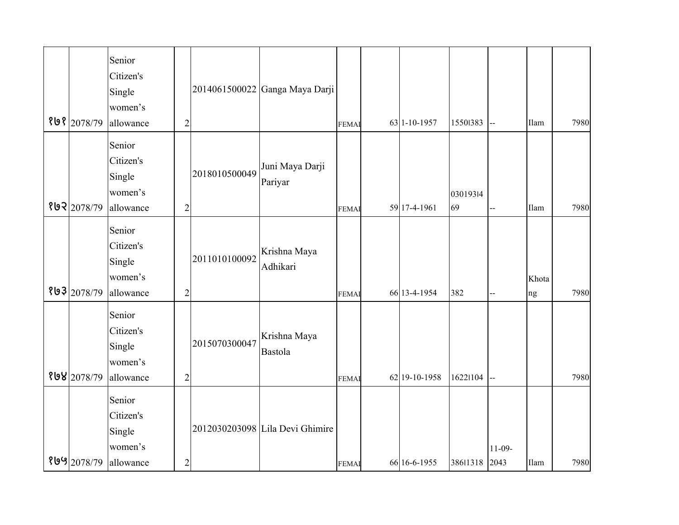| १७१ 2078/79 | Senior<br>Citizen's<br>Single<br>women's<br>allowance | $\overline{2}$ |               | 2014061500022 Ganga Maya Darji  | <b>FEMA</b> | 63 1-10-1957  | 15501383       | ш.,              | Ilam        | 7980 |
|-------------|-------------------------------------------------------|----------------|---------------|---------------------------------|-------------|---------------|----------------|------------------|-------------|------|
| 892 2078/79 | Senior<br>Citizen's<br>Single<br>women's<br>allowance | $\overline{2}$ | 2018010500049 | Juni Maya Darji<br>Pariyar      | <b>FEMA</b> | 59 17-4-1961  | 03019314<br>69 | ц,               | Ilam        | 7980 |
| १७३ 2078/79 | Senior<br>Citizen's<br>Single<br>women's<br>allowance | $\overline{c}$ | 2011010100092 | Krishna Maya<br>Adhikari        | <b>FEMA</b> | 66 13-4-1954  | 382            | $\overline{a}$   | Khota<br>ng | 7980 |
| 898 2078/79 | Senior<br>Citizen's<br>Single<br>women's<br>allowance | $\overline{c}$ | 2015070300047 | Krishna Maya<br><b>Bastola</b>  | <b>FEMA</b> | 62 19-10-1958 | 16221104       | $\overline{a}$   |             | 7980 |
| የ 9 2078/79 | Senior<br>Citizen's<br>Single<br>women's<br>allowance | $\overline{c}$ |               | 2012030203098 Lila Devi Ghimire | <b>FEMA</b> | 66 16-6-1955  | 38611318       | $11-09-$<br>2043 | Ilam        | 7980 |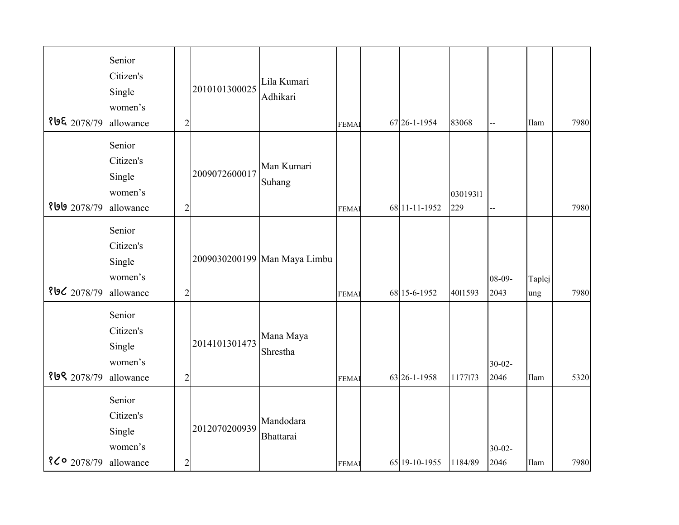| १७६ 2078/79    | Senior<br>Citizen's<br>Single<br>women's<br>allowance | $\overline{c}$ | 2010101300025 | Lila Kumari<br>Adhikari      | <b>FEMA</b> | 67 26-1-1954  | 83068           | Ц.                  | Ilam          | 7980 |
|----------------|-------------------------------------------------------|----------------|---------------|------------------------------|-------------|---------------|-----------------|---------------------|---------------|------|
| १७७ 2078/79    | Senior<br>Citizen's<br>Single<br>women's<br>allowance | $\overline{2}$ | 2009072600017 | Man Kumari<br>Suhang         | <b>FEMA</b> | 68 11-11-1952 | 03019311<br>229 | ц,                  |               | 7980 |
| 806 2078/79    | Senior<br>Citizen's<br>Single<br>women's<br>allowance | $\overline{2}$ |               | 2009030200199 Man Maya Limbu | <b>FEMA</b> | 68 15-6-1952  | 4011593         | $08 - 09 -$<br>2043 | Taplej<br>ung | 7980 |
| १७९ 2078/79    | Senior<br>Citizen's<br>Single<br>women's<br>allowance | $\overline{2}$ | 2014101301473 | Mana Maya<br>Shrestha        | <b>FEMA</b> | 63 26-1-1958  | 1177173         | $30 - 02 -$<br>2046 | Ilam          | 5320 |
| $8$ Co 2078/79 | Senior<br>Citizen's<br>Single<br>women's<br>allowance | $\overline{c}$ | 2012070200939 | Mandodara<br>Bhattarai       | <b>FEMA</b> | 65 19-10-1955 | 1184/89         | $30 - 02 -$<br>2046 | Ilam          | 7980 |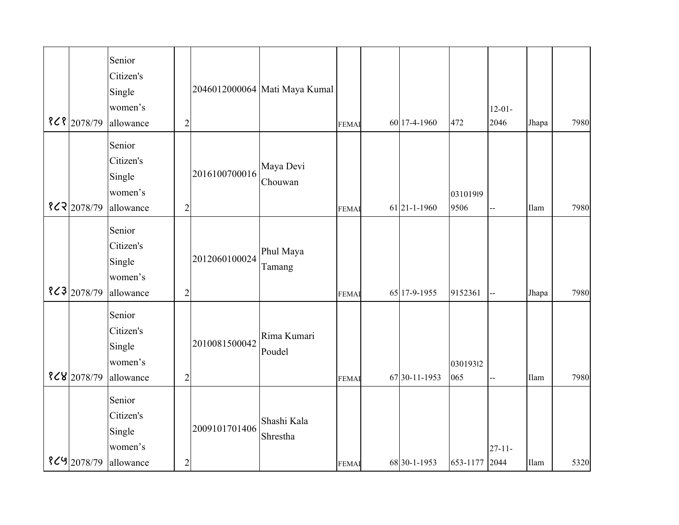| $8C8$ 2078/79 | Senior<br>Citizen's<br>Single<br>women's<br>allowance | $\overline{2}$ |               | 2046012000064 Mati Maya Kumal | <b>FEMA</b> | 60 17-4-1960  | 472              | $12 - 01 -$<br>2046 | Jhapa | 7980 |
|---------------|-------------------------------------------------------|----------------|---------------|-------------------------------|-------------|---------------|------------------|---------------------|-------|------|
| 822 2078/79   | Senior<br>Citizen's<br>Single<br>women's<br>allowance | $\overline{c}$ | 2016100700016 | Maya Devi<br>Chouwan          | <b>FEMA</b> | 61 21-1-1960  | 03101919<br>9506 | Щ,                  | Ilam  | 7980 |
| $8<3$ 2078/79 | Senior<br>Citizen's<br>Single<br>women's<br>allowance | $\overline{c}$ | 2012060100024 | Phul Maya<br>Tamang           | <b>FEMA</b> | 65 17-9-1955  | 9152361          | --                  | Jhapa | 7980 |
| $8<8$ 2078/79 | Senior<br>Citizen's<br>Single<br>women's<br>allowance | $\overline{2}$ | 2010081500042 | Rima Kumari<br>Poudel         | <b>FEMA</b> | 67 30-11-1953 | 03019312<br>065  | Щ,                  | Ilam  | 7980 |
| $8<9$ 2078/79 | Senior<br>Citizen's<br>Single<br>women's<br>allowance | $\overline{c}$ | 2009101701406 | Shashi Kala<br>Shrestha       | <b>FEMA</b> | 68 30-1-1953  | 653-1177         | $27 - 11 -$<br>2044 | Ilam  | 5320 |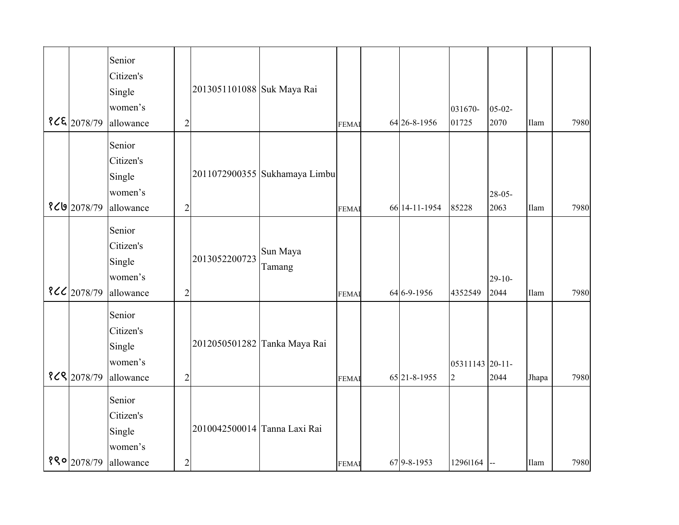| 82E 2078/79  | Senior<br>Citizen's<br>Single<br>women's<br>allowance | $\overline{2}$ | 2013051101088 Suk Maya Rai   |                               | <b>FEMA</b> | 64 26-8-1956  | 031670-<br>01725                  | $05 - 02 -$<br>2070 | Ilam  | 7980 |
|--------------|-------------------------------------------------------|----------------|------------------------------|-------------------------------|-------------|---------------|-----------------------------------|---------------------|-------|------|
| የረሀ2078/79   | Senior<br>Citizen's<br>Single<br>women's<br>allowance | $\overline{2}$ |                              | 2011072900355 Sukhamaya Limbu | <b>FEMA</b> | 66 14-11-1954 | 85228                             | $28 - 05 -$<br>2063 | Ilam  | 7980 |
| 8 << 2078/79 | Senior<br>Citizen's<br>Single<br>women's<br>allowance | $\overline{c}$ | 2013052200723                | Sun Maya<br>Tamang            | <b>FEMA</b> | 64 6-9-1956   | 4352549                           | $29-10-$<br>2044    | Ilam  | 7980 |
| 868 2078/79  | Senior<br>Citizen's<br>Single<br>women's<br>allowance | $\overline{2}$ |                              | 2012050501282 Tanka Maya Rai  | <b>FEMA</b> | 65 21-8-1955  | 05311143 20-11-<br>$\overline{2}$ | 2044                | Jhapa | 7980 |
| 880 2078/79  | Senior<br>Citizen's<br>Single<br>women's<br>allowance | $\overline{c}$ | 2010042500014 Tanna Laxi Rai |                               | <b>FEMA</b> | 67 9-8-1953   | 12961164                          | $\mathbf{I}$        | Ilam  | 7980 |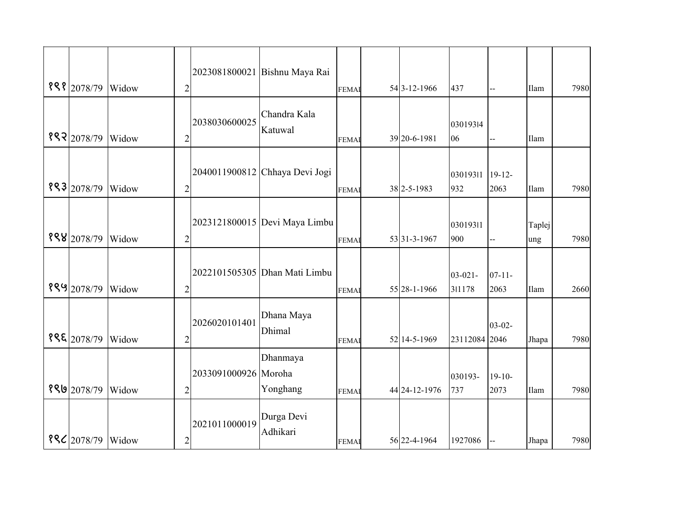| 898 2078/79              | Widow | $\overline{2}$ |                      | 2023081800021 Bishnu Maya Rai  | <b>FEMAI</b> | 54 3-12-1966      | 437                    |                     | Ilam          | 7980 |
|--------------------------|-------|----------------|----------------------|--------------------------------|--------------|-------------------|------------------------|---------------------|---------------|------|
| 882 2078/79              | Widow | $\mathfrak{2}$ | 2038030600025        | Chandra Kala<br>Katuwal        | <b>FEMAI</b> | 39 20-6-1981      | 03019314<br>06         |                     | Ilam          |      |
| 883 2078/79              | Widow | $\overline{2}$ |                      | 2040011900812 Chhaya Devi Jogi | <b>FEMAI</b> | 38 2-5-1983       | 03019311<br>932        | $19-12-$<br>2063    | Ilam          | 7980 |
| 888 2078/79              | Widow | $\overline{2}$ |                      | 2023121800015 Devi Maya Limbu  | <b>FEMAI</b> | 53 31 - 3 - 1967  | 03019311<br>900        |                     | Taplej<br>ung | 7980 |
| १९५ 2078/79              | Widow | $\overline{2}$ |                      | 2022101505305 Dhan Mati Limbu  | <b>FEMAI</b> | 55 28-1-1966      | $03 - 021 -$<br>311178 | $07 - 11 -$<br>2063 | Ilam          | 2660 |
| १९६ 2078/79              | Widow | $\overline{c}$ | 2026020101401        | Dhana Maya<br>Dhimal           | <b>FEMAI</b> | 52 14-5-1969      | 23112084 2046          | $03 - 02 -$         | Jhapa         | 7980 |
| 8992078/79               | Widow | $\mathfrak{2}$ | 2033091000926 Moroha | Dhanmaya<br>Yonghang           | <b>FEMAI</b> | 44 24 - 12 - 1976 | 030193-<br>737         | $19-10-$<br>2073    | Ilam          | 7980 |
| <b>886</b> 2078/79 Widow |       | $\mathbf{2}$   | 2021011000019        | Durga Devi<br>Adhikari         | <b>FEMA</b>  | 56 22-4-1964      | 1927086                |                     | Jhapa         | 7980 |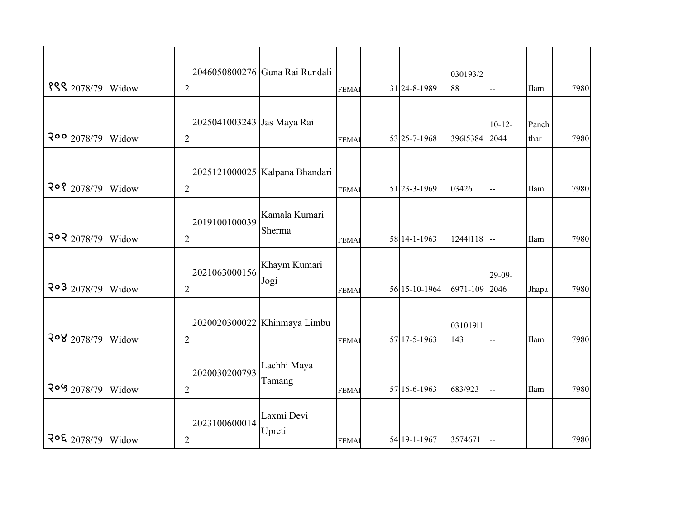| १९९ 2078/79              | Widow | $\overline{c}$ |                            | 2046050800276 Guna Rai Rundali | <b>FEMAI</b> | 31 24-8-1989  | 030193/2<br>88  |                     | <b>Ilam</b>   | 7980 |
|--------------------------|-------|----------------|----------------------------|--------------------------------|--------------|---------------|-----------------|---------------------|---------------|------|
| 200 2078/79              | Widow | $\overline{c}$ | 2025041003243 Jas Maya Rai |                                | <b>FEMAI</b> | 53 25-7-1968  | 39615384        | $10 - 12 -$<br>2044 | Panch<br>thar | 7980 |
| 208 2078/79              | Widow | $\overline{c}$ |                            | 2025121000025 Kalpana Bhandari | <b>FEMAI</b> | 51 23-3-1969  | 03426           |                     | Ilam          | 7980 |
| 202 2078/79              | Widow | $\overline{c}$ | 2019100100039              | Kamala Kumari<br>Sherma        | <b>FEMAI</b> | 58 14-1-1963  | 12441118        |                     | Ilam          | 7980 |
| $\frac{203}{2078/79}$    | Widow | $\overline{c}$ | 2021063000156              | Khaym Kumari<br>Jogi           | <b>FEMAI</b> | 56 15-10-1964 | 6971-109        | 29-09-<br>2046      | Jhapa         | 7980 |
| 208 2078/79              | Widow | $\overline{2}$ |                            | 2020020300022 Khinmaya Limbu   | <b>FEMAI</b> | 57 17-5-1963  | 03101911<br>143 | $\overline{a}$      | Ilam          | 7980 |
| २०५ 2078/79              | Widow | $\overline{c}$ | 2020030200793              | Lachhi Maya<br>Tamang          | <b>FEMAI</b> | 57 16-6-1963  | 683/923         | --                  | Ilam          | 7980 |
| <b>208 2078/79 Widow</b> |       | $\overline{c}$ | 2023100600014              | Laxmi Devi<br>Upreti           | <b>FEMAI</b> | 54 19-1-1967  | 3574671         |                     |               | 7980 |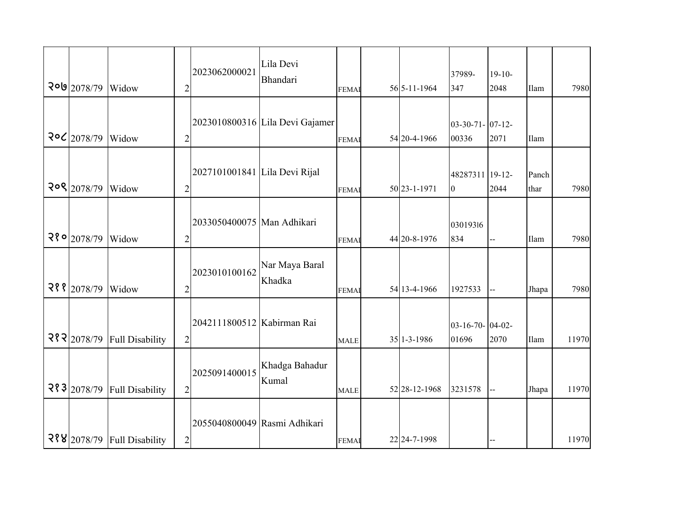| 200 2078/79              | Widow                       | $\overline{c}$ | 2023062000021                 | Lila Devi<br>Bhandari           | <b>FEMAI</b> | 56 5-11-1964  | 37989-<br>347                   | $19-10-$<br>2048 | Ilam          | 7980  |
|--------------------------|-----------------------------|----------------|-------------------------------|---------------------------------|--------------|---------------|---------------------------------|------------------|---------------|-------|
| $20Z$ 2078/79            | Widow                       | $\overline{2}$ |                               | 2023010800316 Lila Devi Gajamer | <b>FEMAI</b> | 54 20-4-1966  | $03-30-71-07-12-$<br>00336      | 2071             | Ilam          |       |
| 208 2078/79              | Widow                       | $\overline{c}$ | 2027101001841 Lila Devi Rijal |                                 | <b>FEMA</b>  | 50 23-1-1971  | 48287311 19-12-<br>$\mathbf{0}$ | 2044             | Panch<br>thar | 7980  |
| $\frac{28}{9}$   2078/79 | Widow                       | $\overline{c}$ | 2033050400075 Man Adhikari    |                                 | <b>FEMAI</b> | 44 20-8-1976  | 03019316<br>834                 | --               | Ilam          | 7980  |
| २११ 2078/79              | Widow                       | $\overline{c}$ | 2023010100162                 | Nar Maya Baral<br>Khadka        | <b>FEMAI</b> | 54 13-4-1966  | 1927533                         |                  | Jhapa         | 7980  |
| २१२ 2078/79              | <b>Full Disability</b>      | $\sqrt{2}$     | 2042111800512 Kabirman Rai    |                                 | <b>MALE</b>  | $35$ 1-3-1986 | $03-16-70$ - 04-02-<br>01696    | 2070             | Ilam          | 11970 |
| २१३ 2078/79              | <b>Full Disability</b>      | $\overline{c}$ | 2025091400015                 | Khadga Bahadur<br>Kumal         | <b>MALE</b>  | 52 28-12-1968 | 3231578                         | --               | Jhapa         | 11970 |
|                          | २१४ 2078/79 Full Disability | $\sqrt{2}$     | 2055040800049 Rasmi Adhikari  |                                 | <b>FEMAI</b> | 22 24-7-1998  |                                 |                  |               | 11970 |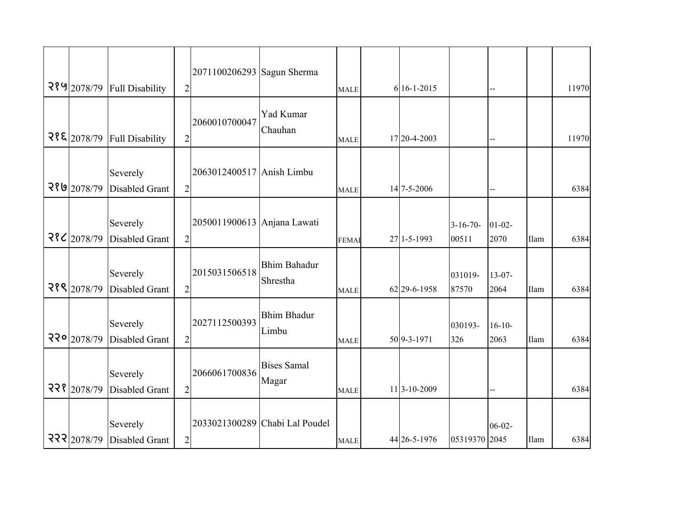| २१५ 2078/79          | <b>Full Disability</b>            | $\overline{2}$ | 2071100206293 Sagun Sherma  |                                 | <b>MALE</b>  | 6 16-1-2015     |                     | --                  |      | 11970 |
|----------------------|-----------------------------------|----------------|-----------------------------|---------------------------------|--------------|-----------------|---------------------|---------------------|------|-------|
| 28E 2078/79          | <b>Full Disability</b>            | $\overline{2}$ | 2060010700047               | Yad Kumar<br>Chauhan            | <b>MALE</b>  | 17 20-4-2003    |                     | --                  |      | 11970 |
| २१७ 2078/79          | Severely<br><b>Disabled Grant</b> | $\overline{2}$ | 2063012400517 Anish Limbu   |                                 | <b>MALE</b>  | 14 7-5-2006     |                     |                     |      | 6384  |
| $\frac{28}{2078/79}$ | Severely<br><b>Disabled Grant</b> | $\overline{2}$ | 2050011900613 Anjana Lawati |                                 | <b>FEMAI</b> | $27$   1-5-1993 | $3-16-70-$<br>00511 | $01 - 02 -$<br>2070 | Ilam | 6384  |
| २१९ 2078/79          | Severely<br><b>Disabled Grant</b> | $\overline{2}$ | 2015031506518               | <b>Bhim Bahadur</b><br>Shrestha | <b>MALE</b>  | 62 29-6-1958    | 031019-<br>87570    | $13 - 07 -$<br>2064 | Ilam | 6384  |
| २२० 2078/79          | Severely<br><b>Disabled Grant</b> | $\overline{2}$ | 2027112500393               | <b>Bhim Bhadur</b><br>Limbu     | <b>MALE</b>  | 50 9-3-1971     | 030193-<br>326      | $16 - 10$<br>2063   | Ilam | 6384  |
| 228 2078/79          | Severely<br><b>Disabled Grant</b> | $\overline{2}$ | 2066061700836               | <b>Bises Samal</b><br>Magar     | <b>MALE</b>  | 11 3-10-2009    |                     | --                  |      | 6384  |
| 222 2078/79          | Severely<br>Disabled Grant        | $\overline{2}$ |                             | 2033021300289 Chabi Lal Poudel  | <b>MALE</b>  | 44 26-5-1976    | 05319370 2045       | $06 - 02 -$         | Ilam | 6384  |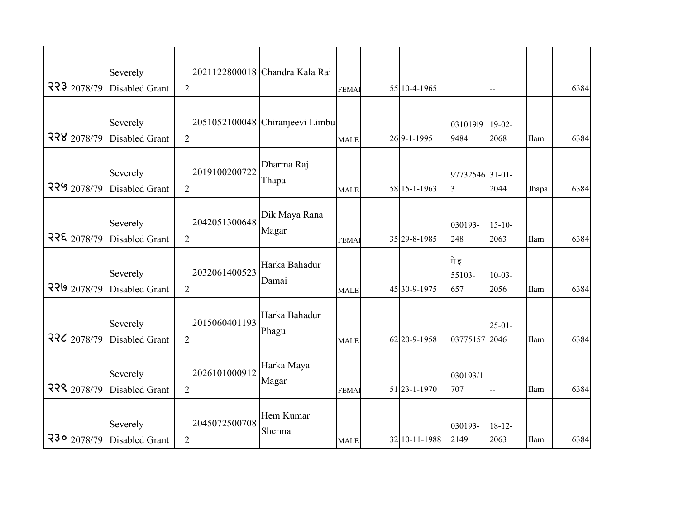|             | Severely                          |                |               | 2021122800018 Chandra Kala Rai  |              |                  |                       |                     |       |      |
|-------------|-----------------------------------|----------------|---------------|---------------------------------|--------------|------------------|-----------------------|---------------------|-------|------|
| 223 2078/79 | <b>Disabled Grant</b>             | $\mathfrak{2}$ |               |                                 | <b>FEMAI</b> | 55 10-4-1965     |                       |                     |       | 6384 |
|             |                                   |                |               |                                 |              |                  |                       |                     |       |      |
|             | Severely                          |                |               | 2051052100048 Chiranjeevi Limbu |              |                  | 03101919              | $19-02-$            |       |      |
| 228 2078/79 | <b>Disabled Grant</b>             | $\overline{2}$ |               |                                 | <b>MALE</b>  | 26 9-1-1995      | 9484                  | 2068                | Ilam  | 6384 |
| 229 2078/79 | Severely<br><b>Disabled Grant</b> | $\overline{2}$ | 2019100200722 | Dharma Raj<br>Thapa             | <b>MALE</b>  | 58 15-1-1963     | 97732546 31-01-<br>3  | 2044                | Jhapa | 6384 |
| २२६ 2078/79 | Severely<br><b>Disabled Grant</b> | $\overline{c}$ | 2042051300648 | Dik Maya Rana<br>Magar          | <b>FEMAI</b> | 35 29 - 8 - 1985 | 030193-<br>248        | $15 - 10$<br>2063   | Ilam  | 6384 |
| 220 2078/79 | Severely<br><b>Disabled Grant</b> | $\overline{2}$ | 2032061400523 | Harka Bahadur<br>Damai          | <b>MALE</b>  | 45 30-9-1975     | मे इ<br>55103-<br>657 | $10-03-$<br>2056    | Ilam  | 6384 |
| २२८ 2078/79 | Severely<br><b>Disabled Grant</b> | $\overline{2}$ | 2015060401193 | Harka Bahadur<br>Phagu          | <b>MALE</b>  | 62 20-9-1958     | 03775157 2046         | $25 - 01 -$         | Ilam  | 6384 |
| 228 2078/79 | Severely<br><b>Disabled Grant</b> | $\overline{2}$ | 2026101000912 | Harka Maya<br>Magar             | <b>FEMAI</b> | 51 23-1-1970     | 030193/1<br>707       |                     | Ilam  | 6384 |
| 230 2078/79 | Severely<br><b>Disabled Grant</b> | $\overline{c}$ | 2045072500708 | Hem Kumar<br>Sherma             | <b>MALE</b>  | 32 10-11-1988    | 030193-<br>2149       | $18 - 12 -$<br>2063 | Ilam  | 6384 |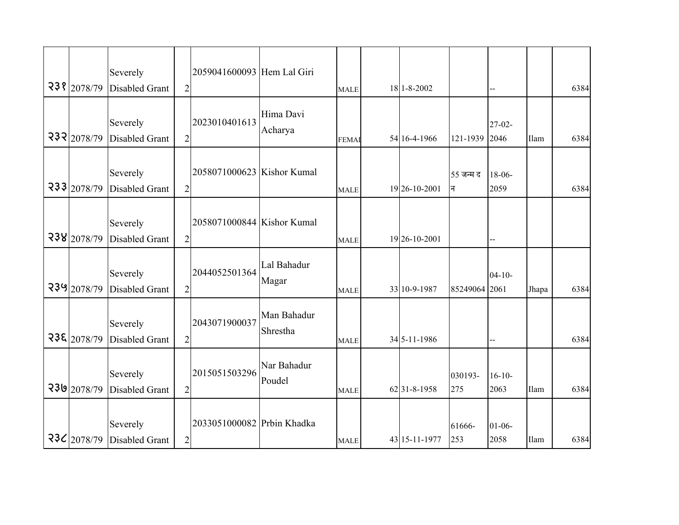|               | Severely                          |                | 2059041600093 Hem Lal Giri |                         |              |               |                |                     |       |      |
|---------------|-----------------------------------|----------------|----------------------------|-------------------------|--------------|---------------|----------------|---------------------|-------|------|
| 238 2078/79   | <b>Disabled Grant</b>             | $\overline{2}$ |                            |                         | <b>MALE</b>  | 18 1-8-2002   |                | --                  |       | 6384 |
| 232 2078/79   | Severely<br><b>Disabled Grant</b> | $\overline{2}$ | 2023010401613              | Hima Davi<br>Acharya    | <b>FEMAI</b> | 54 16-4-1966  | 121-1939       | $27 - 02 -$<br>2046 | Ilam  | 6384 |
| 233 2078/79   | Severely<br><b>Disabled Grant</b> | $\overline{2}$ | 2058071000623 Kishor Kumal |                         | <b>MALE</b>  | 19 26-10-2001 | 55 जन्म द<br>न | $18-06-$<br>2059    |       | 6384 |
| 238 2078/79   | Severely<br><b>Disabled Grant</b> | $\overline{2}$ | 2058071000844 Kishor Kumal |                         | <b>MALE</b>  | 19 26-10-2001 |                | --                  |       |      |
| 239 2078/79   | Severely<br><b>Disabled Grant</b> | $\overline{c}$ | 2044052501364              | Lal Bahadur<br>Magar    | <b>MALE</b>  | 33 10-9-1987  | 85249064 2061  | $04 - 10 -$         | Jhapa | 6384 |
| 238 2078/79   | Severely<br>Disabled Grant        | $\overline{2}$ | 2043071900037              | Man Bahadur<br>Shrestha | <b>MALE</b>  | 34 5-11-1986  |                |                     |       | 6384 |
| 230 2078/79   | Severely<br><b>Disabled Grant</b> | $\overline{2}$ | 2015051503296              | Nar Bahadur<br>Poudel   | <b>MALE</b>  | 6231-8-1958   | 030193-<br>275 | $16 - 10$<br>2063   | Ilam  | 6384 |
| $23C$ 2078/79 | Severely<br>Disabled Grant        | $\overline{2}$ | 2033051000082 Prbin Khadka |                         | <b>MALE</b>  | 43 15-11-1977 | 61666-<br>253  | $01-06-$<br>2058    | Ilam  | 6384 |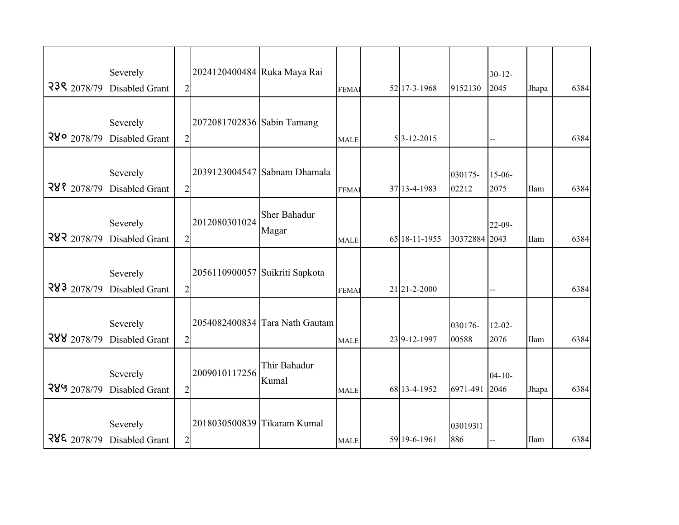|                       | Severely              |                | 2024120400484 Ruka Maya Rai    |                                |              |                  |               | $30 - 12$   |             |      |
|-----------------------|-----------------------|----------------|--------------------------------|--------------------------------|--------------|------------------|---------------|-------------|-------------|------|
| 238 2078/79           | <b>Disabled Grant</b> | $\overline{2}$ |                                |                                | <b>FEMAI</b> | 52 17-3-1968     | 9152130       | 2045        | Jhapa       | 6384 |
|                       |                       |                |                                |                                |              |                  |               |             |             |      |
|                       | Severely              |                | 2072081702836 Sabin Tamang     |                                |              |                  |               |             |             |      |
| 280 2078/79           | <b>Disabled Grant</b> | $\overline{2}$ |                                |                                |              | $5 3-12-2015$    |               |             |             | 6384 |
|                       |                       |                |                                |                                | <b>MALE</b>  |                  |               |             |             |      |
|                       |                       |                |                                |                                |              |                  |               |             |             |      |
|                       | Severely              |                |                                | 2039123004547 Sabnam Dhamala   |              |                  | 030175-       | $15-06-$    |             |      |
| 288 2078/79           | <b>Disabled Grant</b> | $\overline{2}$ |                                |                                | <b>FEMAI</b> | 37 13-4-1983     | 02212         | 2075        | Ilam        | 6384 |
|                       |                       |                |                                | <b>Sher Bahadur</b>            |              |                  |               |             |             |      |
|                       | Severely              |                | 2012080301024                  |                                |              |                  |               | $22-09-$    |             |      |
| 282 2078/79           | <b>Disabled Grant</b> | $\overline{2}$ |                                | Magar                          | <b>MALE</b>  | 65 18-11-1955    | 30372884 2043 |             | Ilam        | 6384 |
|                       |                       |                |                                |                                |              |                  |               |             |             |      |
|                       | Severely              |                | 2056110900057 Suikriti Sapkota |                                |              |                  |               |             |             |      |
| $\frac{283}{2078/79}$ | <b>Disabled Grant</b> | $\mathfrak{2}$ |                                |                                | <b>FEMAI</b> | 21 21 - 2 - 2000 |               |             |             | 6384 |
|                       |                       |                |                                |                                |              |                  |               |             |             |      |
|                       |                       |                |                                |                                |              |                  |               |             |             |      |
|                       | Severely              |                |                                | 2054082400834 Tara Nath Gautam |              |                  | 030176-       | $12 - 02 -$ |             |      |
| 288 2078/79           | <b>Disabled Grant</b> | $\overline{2}$ |                                |                                | <b>MALE</b>  | 239-12-1997      | 00588         | 2076        | Ilam        | 6384 |
|                       |                       |                |                                | Thir Bahadur                   |              |                  |               |             |             |      |
|                       | Severely              |                | 2009010117256                  | Kumal                          |              |                  |               | $04 - 10 -$ |             |      |
| 289 2078/79           | <b>Disabled Grant</b> | $\overline{2}$ |                                |                                | <b>MALE</b>  | 68 13-4-1952     | 6971-491      | 2046        | Jhapa       | 6384 |
|                       |                       |                |                                |                                |              |                  |               |             |             |      |
|                       | Severely              |                | 2018030500839 Tikaram Kumal    |                                |              |                  | 03019311      |             |             |      |
| 288 2078/79           | <b>Disabled Grant</b> | $\overline{2}$ |                                |                                | <b>MALE</b>  | 59 19-6-1961     | 886           |             | <b>Ilam</b> | 6384 |
|                       |                       |                |                                |                                |              |                  |               |             |             |      |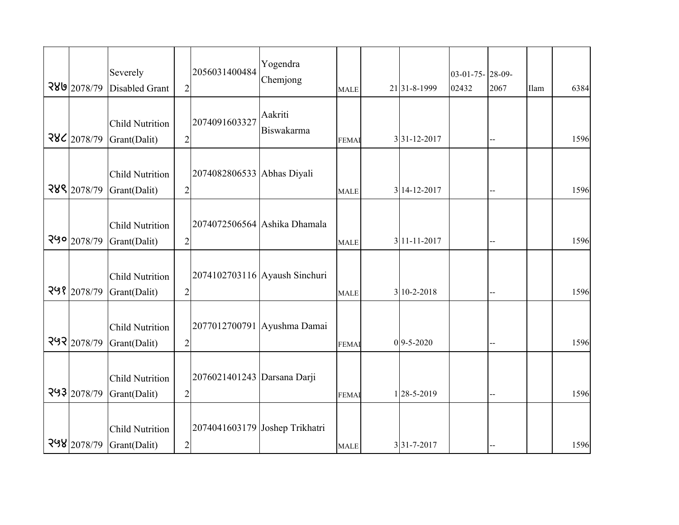| 289 2078/79   | Severely<br><b>Disabled Grant</b>      | $\sqrt{2}$     | 2056031400484               | Yogendra<br>Chemjong           | <b>MALE</b>  | 21 31 - 8 - 1999 | 03-01-75-28-09-<br>02432 | 2067                     | Ilam | 6384 |
|---------------|----------------------------------------|----------------|-----------------------------|--------------------------------|--------------|------------------|--------------------------|--------------------------|------|------|
| 286 2078/79   | <b>Child Nutrition</b><br>Grant(Dalit) | $\overline{c}$ | 2074091603327               | Aakriti<br>Biswakarma          | <b>FEMAI</b> | 3 31-12-2017     |                          | $\overline{a}$           |      | 1596 |
| 288 2078/79   | <b>Child Nutrition</b><br>Grant(Dalit) | $\overline{c}$ | 2074082806533 Abhas Diyali  |                                | <b>MALE</b>  | 3 14-12-2017     |                          | $\overline{a}$           |      | 1596 |
| $290$ 2078/79 | <b>Child Nutrition</b><br>Grant(Dalit) | $\sqrt{2}$     |                             | 2074072506564 Ashika Dhamala   | <b>MALE</b>  | 3 11-11-2017     |                          |                          |      | 1596 |
| २५१ 2078/79   | <b>Child Nutrition</b><br>Grant(Dalit) | $\overline{2}$ |                             | 2074102703116 Ayaush Sinchuri  | <b>MALE</b>  | 3 10-2-2018      |                          |                          |      | 1596 |
| २५२ 2078/79   | <b>Child Nutrition</b><br>Grant(Dalit) | $\overline{c}$ |                             | 2077012700791 Ayushma Damai    | <b>FEMAI</b> | $0$ 9-5-2020     |                          |                          |      | 1596 |
| २५३ 2078/79   | <b>Child Nutrition</b><br>Grant(Dalit) | $\overline{c}$ | 2076021401243 Darsana Darji |                                | <b>FEMA</b>  | 128-5-2019       |                          | $\overline{\phantom{a}}$ |      | 1596 |
| 298 2078/79   | <b>Child Nutrition</b><br>Grant(Dalit) | $\overline{c}$ |                             | 2074041603179 Joshep Trikhatri | <b>MALE</b>  | 3 31-7-2017      |                          |                          |      | 1596 |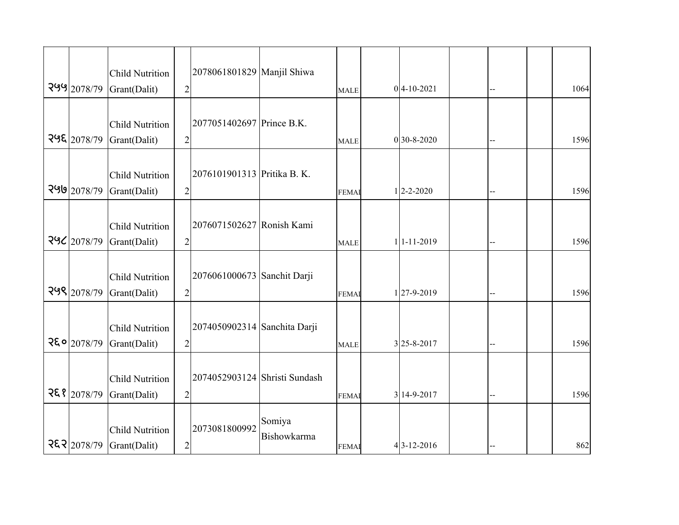| 299 2078/79           | <b>Child Nutrition</b><br>Grant(Dalit) | $\overline{2}$ | 2078061801829 Manjil Shiwa    |                       | <b>MALE</b>  | $0 4-10-2021$                | --  | 1064 |
|-----------------------|----------------------------------------|----------------|-------------------------------|-----------------------|--------------|------------------------------|-----|------|
| $\frac{295}{2078/79}$ | <b>Child Nutrition</b><br>Grant(Dalit) | $\overline{2}$ | 2077051402697 Prince B.K.     |                       | <b>MALE</b>  | $0$ 30-8-2020                |     | 1596 |
| 299 2078/79           | <b>Child Nutrition</b><br>Grant(Dalit) | $\overline{2}$ | 2076101901313 Pritika B. K.   |                       | <b>FEMAI</b> | $1 \overline{)2 - 2 - 2020}$ | --  | 1596 |
| 296 2078/79           | <b>Child Nutrition</b><br>Grant(Dalit) | $\overline{2}$ | 2076071502627 Ronish Kami     |                       | <b>MALE</b>  | 1 1-11-2019                  | $=$ | 1596 |
| २५९ 2078/79           | <b>Child Nutrition</b><br>Grant(Dalit) | $\overline{2}$ | 2076061000673 Sanchit Darji   |                       | <b>FEMAI</b> | 127-9-2019                   |     | 1596 |
| २६० 2078/79           | <b>Child Nutrition</b><br>Grant(Dalit) | $\overline{2}$ | 2074050902314 Sanchita Darji  |                       | <b>MALE</b>  | 3 25-8-2017                  |     | 1596 |
| २६१ 2078/79           | <b>Child Nutrition</b><br>Grant(Dalit) | $\overline{2}$ | 2074052903124 Shristi Sundash |                       | <b>FEMAI</b> | 3 14-9-2017                  |     | 1596 |
| २६२ 2078/79           | <b>Child Nutrition</b><br>Grant(Dalit) | $\overline{c}$ | 2073081800992                 | Somiya<br>Bishowkarma | <b>FEMAI</b> | $4 3-12-2016$                |     | 862  |